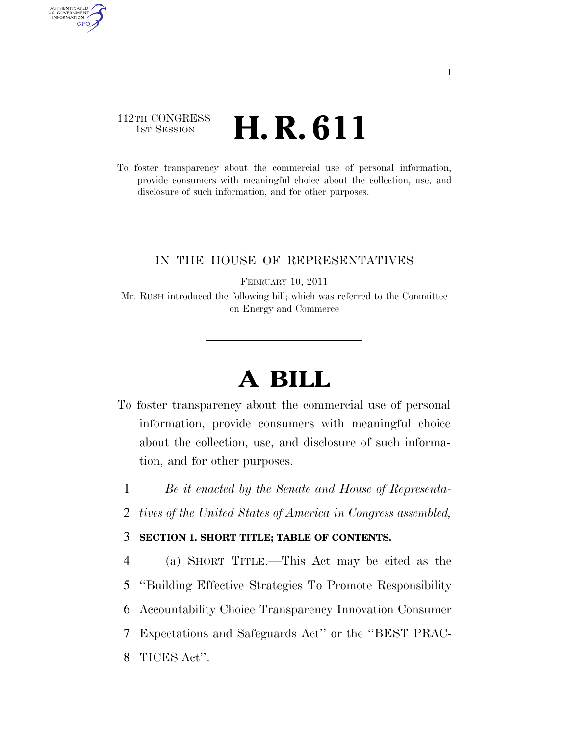## 112TH CONGRESS TH CONGRESS  $H.R.S. 611$

AUTHENTICATED<br>U.S. GOVERNMENT<br>INFORMATION **GPO** 

> To foster transparency about the commercial use of personal information, provide consumers with meaningful choice about the collection, use, and disclosure of such information, and for other purposes.

### IN THE HOUSE OF REPRESENTATIVES

FEBRUARY 10, 2011

Mr. RUSH introduced the following bill; which was referred to the Committee on Energy and Commerce

# **A BILL**

- To foster transparency about the commercial use of personal information, provide consumers with meaningful choice about the collection, use, and disclosure of such information, and for other purposes.
	- 1 *Be it enacted by the Senate and House of Representa-*
	- 2 *tives of the United States of America in Congress assembled,*

#### 3 **SECTION 1. SHORT TITLE; TABLE OF CONTENTS.**

 (a) SHORT TITLE.—This Act may be cited as the ''Building Effective Strategies To Promote Responsibility Accountability Choice Transparency Innovation Consumer Expectations and Safeguards Act'' or the ''BEST PRAC-TICES Act''.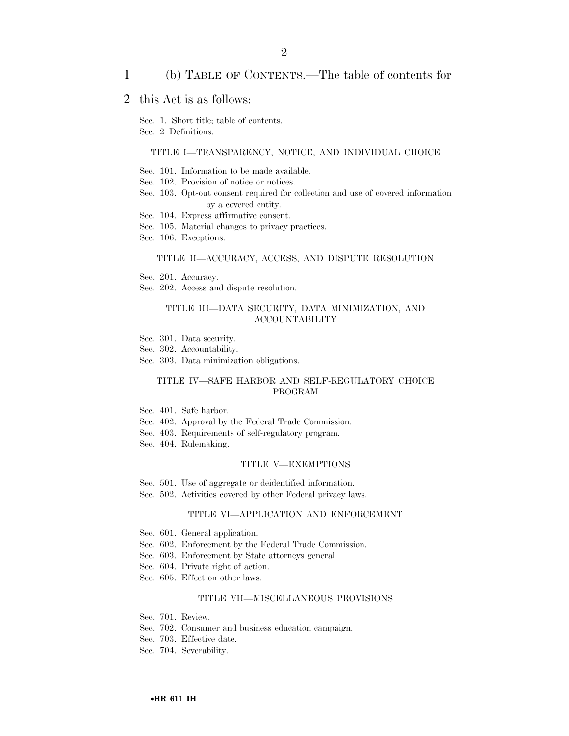#### 1 (b) TABLE OF CONTENTS.—The table of contents for

2

### 2 this Act is as follows:

Sec. 1. Short title; table of contents.

Sec. 2 Definitions.

#### TITLE I—TRANSPARENCY, NOTICE, AND INDIVIDUAL CHOICE

- Sec. 101. Information to be made available.
- Sec. 102. Provision of notice or notices.
- Sec. 103. Opt-out consent required for collection and use of covered information by a covered entity.
- Sec. 104. Express affirmative consent.
- Sec. 105. Material changes to privacy practices.
- Sec. 106. Exceptions.

#### TITLE II—ACCURACY, ACCESS, AND DISPUTE RESOLUTION

- Sec. 201. Accuracy.
- Sec. 202. Access and dispute resolution.

#### TITLE III—DATA SECURITY, DATA MINIMIZATION, AND ACCOUNTABILITY

- Sec. 301. Data security.
- Sec. 302. Accountability.
- Sec. 303. Data minimization obligations.

#### TITLE IV—SAFE HARBOR AND SELF-REGULATORY CHOICE PROGRAM

- Sec. 401. Safe harbor.
- Sec. 402. Approval by the Federal Trade Commission.
- Sec. 403. Requirements of self-regulatory program.
- Sec. 404. Rulemaking.

#### TITLE V—EXEMPTIONS

- Sec. 501. Use of aggregate or deidentified information.
- Sec. 502. Activities covered by other Federal privacy laws.

#### TITLE VI—APPLICATION AND ENFORCEMENT

- Sec. 601. General application.
- Sec. 602. Enforcement by the Federal Trade Commission.
- Sec. 603. Enforcement by State attorneys general.
- Sec. 604. Private right of action.
- Sec. 605. Effect on other laws.

#### TITLE VII—MISCELLANEOUS PROVISIONS

- Sec. 701. Review.
- Sec. 702. Consumer and business education campaign.
- Sec. 703. Effective date.
- Sec. 704. Severability.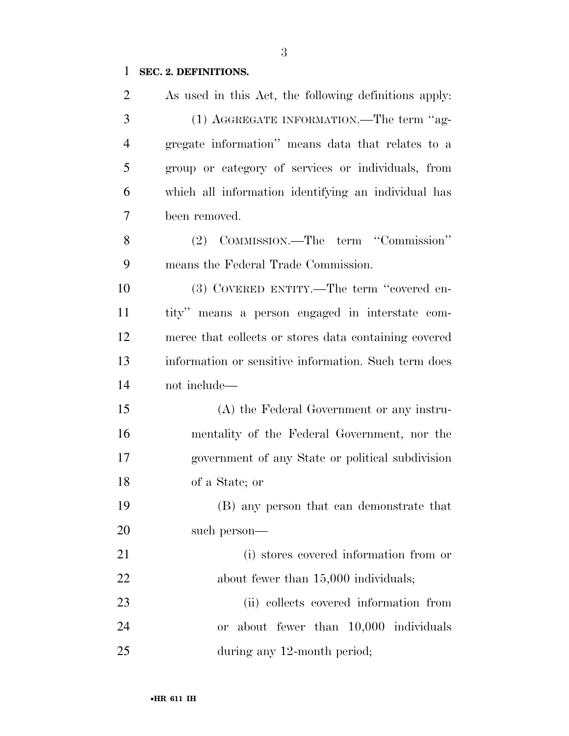## **SEC. 2. DEFINITIONS.**

| $\overline{2}$ | As used in this Act, the following definitions apply: |
|----------------|-------------------------------------------------------|
| 3              | (1) AGGREGATE INFORMATION.—The term "ag-              |
| $\overline{4}$ | gregate information" means data that relates to a     |
| 5              | group or category of services or individuals, from    |
| 6              | which all information identifying an individual has   |
| 7              | been removed.                                         |
| 8              | (2) COMMISSION.—The term "Commission"                 |
| 9              | means the Federal Trade Commission.                   |
| 10             | (3) COVERED ENTITY.—The term "covered en-             |
| 11             | tity" means a person engaged in interstate com-       |
| 12             | merce that collects or stores data containing covered |
| 13             | information or sensitive information. Such term does  |
| 14             | not include—                                          |
| 15             | (A) the Federal Government or any instru-             |
| 16             | mentality of the Federal Government, nor the          |
| 17             | government of any State or political subdivision      |
| 18             | of a State; or                                        |
| 19             | (B) any person that can demonstrate that              |
| 20             | such person—                                          |
| 21             | (i) stores covered information from or                |
| 22             | about fewer than 15,000 individuals;                  |
| 23             | (ii) collects covered information from                |
| 24             | or about fewer than 10,000 individuals                |
| 25             | during any 12-month period;                           |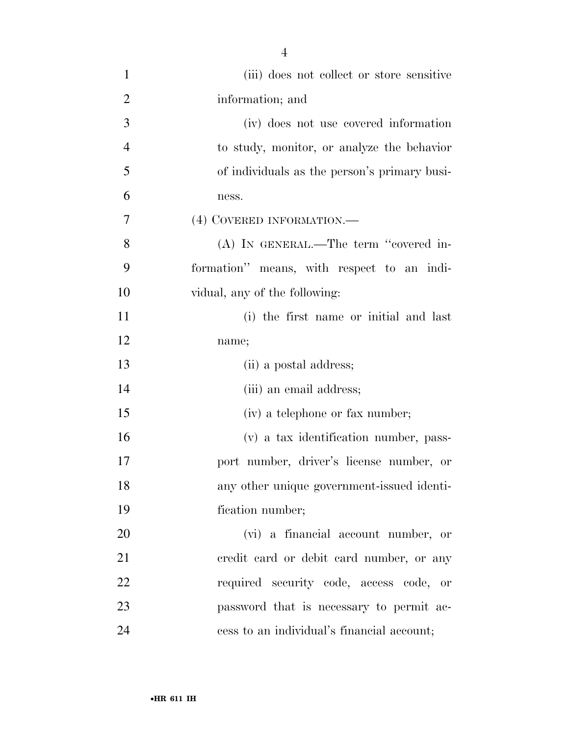| $\mathbf{1}$   | (iii) does not collect or store sensitive    |
|----------------|----------------------------------------------|
| $\overline{2}$ | information; and                             |
| 3              | (iv) does not use covered information        |
| $\overline{4}$ | to study, monitor, or analyze the behavior   |
| 5              | of individuals as the person's primary busi- |
| 6              | ness.                                        |
| $\overline{7}$ | (4) COVERED INFORMATION.—                    |
| 8              | (A) IN GENERAL.—The term "covered in-        |
| 9              | formation" means, with respect to an indi-   |
| 10             | vidual, any of the following:                |
| 11             | (i) the first name or initial and last       |
| 12             | name;                                        |
| 13             | (ii) a postal address;                       |
| 14             | (iii) an email address;                      |
| 15             | (iv) a telephone or fax number;              |
| 16             | (v) a tax identification number, pass-       |
| 17             | port number, driver's license number, or     |
| 18             | any other unique government-issued identi-   |
| 19             | fication number;                             |
| 20             | (vi) a financial account number, or          |
| 21             | eredit card or debit card number, or any     |
| 22             | required security code, access code, or      |
| 23             | password that is necessary to permit ac-     |
| 24             | cess to an individual's financial account;   |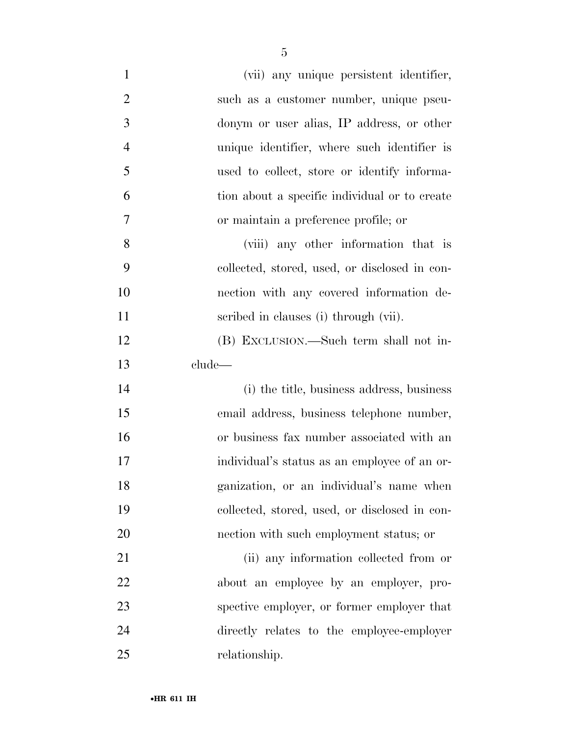| $\mathbf{1}$   | (vii) any unique persistent identifier,       |
|----------------|-----------------------------------------------|
| $\overline{2}$ | such as a customer number, unique pseu-       |
| 3              | donym or user alias, IP address, or other     |
| $\overline{4}$ | unique identifier, where such identifier is   |
| 5              | used to collect, store or identify informa-   |
| 6              | tion about a specific individual or to create |
| 7              | or maintain a preference profile; or          |
| 8              | (viii) any other information that is          |
| 9              | collected, stored, used, or disclosed in con- |
| 10             | nection with any covered information de-      |
| 11             | scribed in clauses (i) through (vii).         |
| 12             | (B) EXCLUSION.—Such term shall not in-        |
| 13             | clude—                                        |
| 14             | (i) the title, business address, business     |
| 15             | email address, business telephone number,     |
| 16             | or business fax number associated with an     |
| 17             | individual's status as an employee of an or-  |
| 18             | ganization, or an individual's name when      |
| 19             | collected, stored, used, or disclosed in con- |
| 20             | nection with such employment status; or       |
| 21             | (ii) any information collected from or        |
| 22             | about an employee by an employer, pro-        |
| 23             | spective employer, or former employer that    |
| 24             | directly relates to the employee-employer     |
| 25             | relationship.                                 |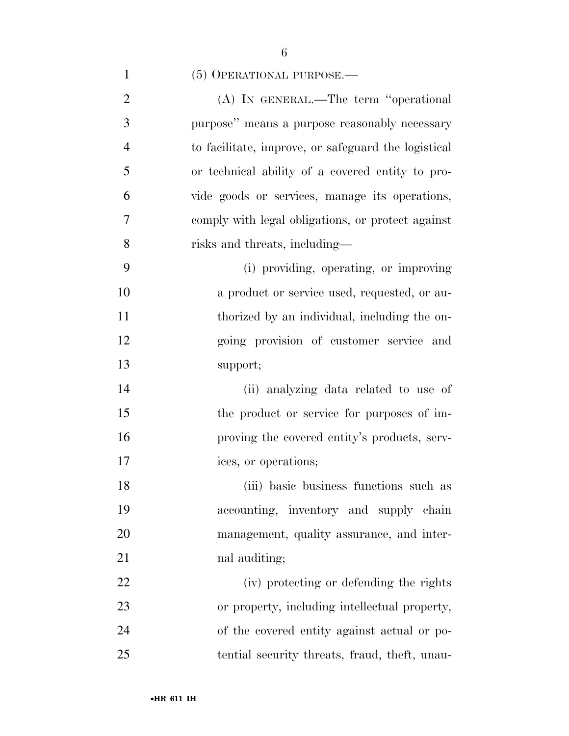### 1 (5) OPERATIONAL PURPOSE.—

| $\overline{2}$ | (A) IN GENERAL.—The term "operational               |
|----------------|-----------------------------------------------------|
| 3              | purpose" means a purpose reasonably necessary       |
| $\overline{4}$ | to facilitate, improve, or safeguard the logistical |
| 5              | or technical ability of a covered entity to pro-    |
| 6              | vide goods or services, manage its operations,      |
| $\overline{7}$ | comply with legal obligations, or protect against   |
| 8              | risks and threats, including—                       |
| 9              | (i) providing, operating, or improving              |
| 10             | a product or service used, requested, or au-        |
| 11             | thorized by an individual, including the on-        |
| 12             | going provision of customer service and             |
| 13             | support;                                            |
| 14             | (ii) analyzing data related to use of               |
| 15             | the product or service for purposes of im-          |
| 16             | proving the covered entity's products, serv-        |
| 17             | ices, or operations;                                |
|                |                                                     |

 (iii) basic business functions such as accounting, inventory and supply chain management, quality assurance, and inter-nal auditing;

 (iv) protecting or defending the rights or property, including intellectual property, of the covered entity against actual or po-tential security threats, fraud, theft, unau-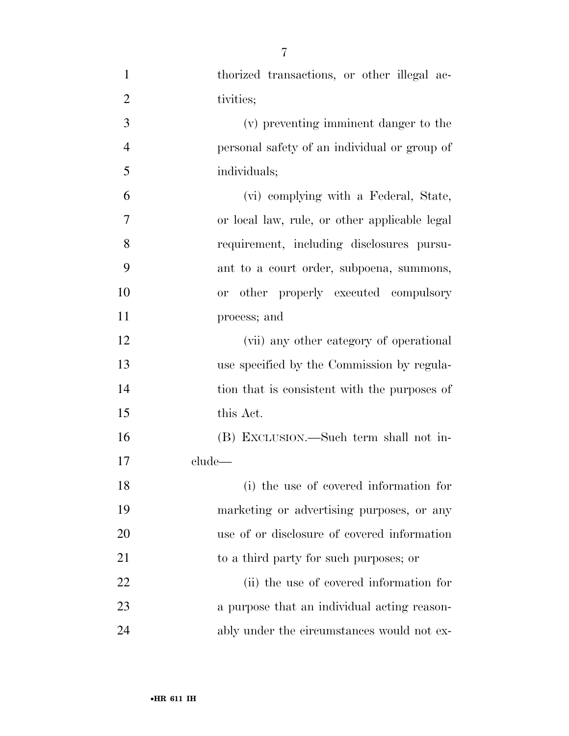| $\mathbf{1}$   | thorized transactions, or other illegal ac-   |
|----------------|-----------------------------------------------|
| $\overline{2}$ | tivities;                                     |
| 3              | (v) preventing imminent danger to the         |
| $\overline{4}$ | personal safety of an individual or group of  |
| 5              | individuals;                                  |
| 6              | (vi) complying with a Federal, State,         |
| $\overline{7}$ | or local law, rule, or other applicable legal |
| 8              | requirement, including disclosures pursu-     |
| 9              | ant to a court order, subpoena, summons,      |
| 10             | or other properly executed compulsory         |
| 11             | process; and                                  |
| 12             | (vii) any other category of operational       |
| 13             | use specified by the Commission by regula-    |
| 14             | tion that is consistent with the purposes of  |
| 15             | this Act.                                     |
| 16             | (B) EXCLUSION.—Such term shall not in-        |
| 17             | clude—                                        |
| 18             | (i) the use of covered information for        |
| 19             | marketing or advertising purposes, or any     |
| 20             | use of or disclosure of covered information   |
| 21             | to a third party for such purposes; or        |
| 22             | (ii) the use of covered information for       |
| 23             | a purpose that an individual acting reason-   |
| 24             | ably under the circumstances would not ex-    |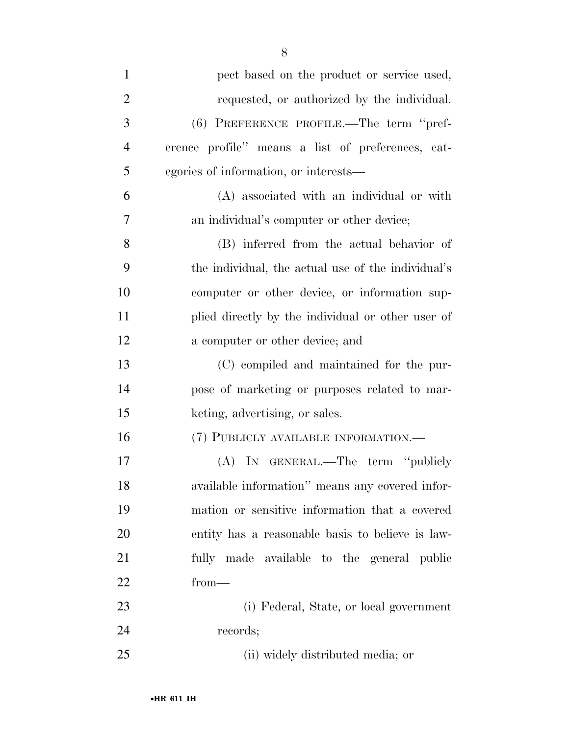| $\mathbf{1}$   | pect based on the product or service used,         |
|----------------|----------------------------------------------------|
| $\overline{2}$ | requested, or authorized by the individual.        |
| 3              | (6) PREFERENCE PROFILE.—The term "pref-            |
| $\overline{4}$ | erence profile" means a list of preferences, cat-  |
| 5              | egories of information, or interests—              |
| 6              | (A) associated with an individual or with          |
| 7              | an individual's computer or other device;          |
| 8              | (B) inferred from the actual behavior of           |
| 9              | the individual, the actual use of the individual's |
| 10             | computer or other device, or information sup-      |
| 11             | plied directly by the individual or other user of  |
| 12             | a computer or other device; and                    |
| 13             | (C) compiled and maintained for the pur-           |
| 14             | pose of marketing or purposes related to mar-      |
| 15             | keting, advertising, or sales.                     |
| 16             | (7) PUBLICLY AVAILABLE INFORMATION.—               |
| 17             | (A) IN GENERAL.—The term "publicly                 |
| 18             | available information" means any covered infor-    |
| 19             | mation or sensitive information that a covered     |
| 20             | entity has a reasonable basis to believe is law-   |
| 21             | fully made available to the general public         |
| 22             | $from-$                                            |
| 23             | (i) Federal, State, or local government            |
| 24             | records;                                           |
| 25             | (ii) widely distributed media; or                  |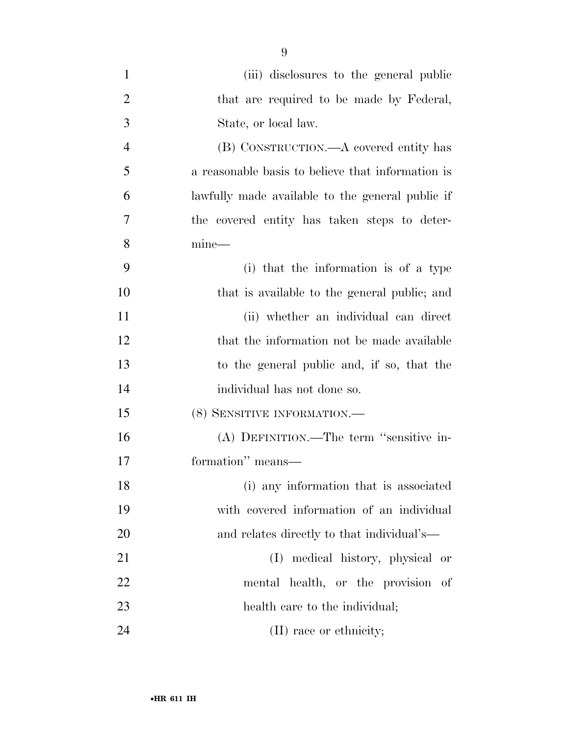| $\mathbf{1}$   | (iii) disclosures to the general public           |
|----------------|---------------------------------------------------|
| $\overline{2}$ | that are required to be made by Federal,          |
| 3              | State, or local law.                              |
| $\overline{4}$ | (B) CONSTRUCTION.—A covered entity has            |
| 5              | a reasonable basis to believe that information is |
| 6              | lawfully made available to the general public if  |
| 7              | the covered entity has taken steps to deter-      |
| 8              | $mine-$                                           |
| 9              | (i) that the information is of a type             |
| 10             | that is available to the general public; and      |
| 11             | (ii) whether an individual can direct             |
| 12             | that the information not be made available        |
| 13             | to the general public and, if so, that the        |
| 14             | individual has not done so.                       |
| 15             | (8) SENSITIVE INFORMATION.                        |
| 16             | (A) DEFINITION.—The term "sensitive in-           |
| 17             | formation" means—                                 |
| 18             | (i) any information that is associated            |
| 19             | with covered information of an individual         |
| 20             | and relates directly to that individual's—        |
| 21             | (I) medical history, physical or                  |
| 22             | mental health, or the provision of                |
| 23             | health care to the individual;                    |
| 24             | (II) race or ethnicity;                           |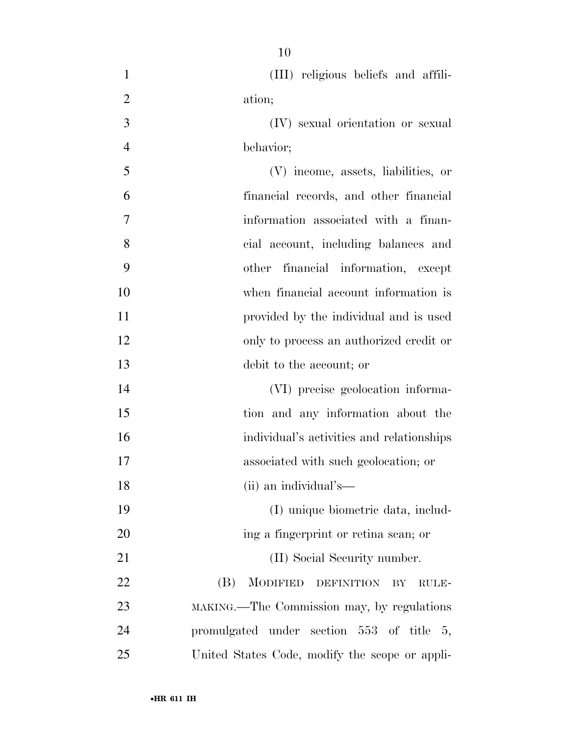- (III) religious beliefs and affili- ation; (IV) sexual orientation or sexual behavior; (V) income, assets, liabilities, or financial records, and other financial
- information associated with a finan- cial account, including balances and other financial information, except when financial account information is provided by the individual and is used only to process an authorized credit or debit to the account; or

 (VI) precise geolocation informa- tion and any information about the individual's activities and relationships associated with such geolocation; or (ii) an individual's— (I) unique biometric data, includ-

20 ing a fingerprint or retina scan; or 21 (II) Social Security number. 22 (B) MODIFIED DEFINITION BY RULE- MAKING.—The Commission may, by regulations promulgated under section 553 of title 5, United States Code, modify the scope or appli-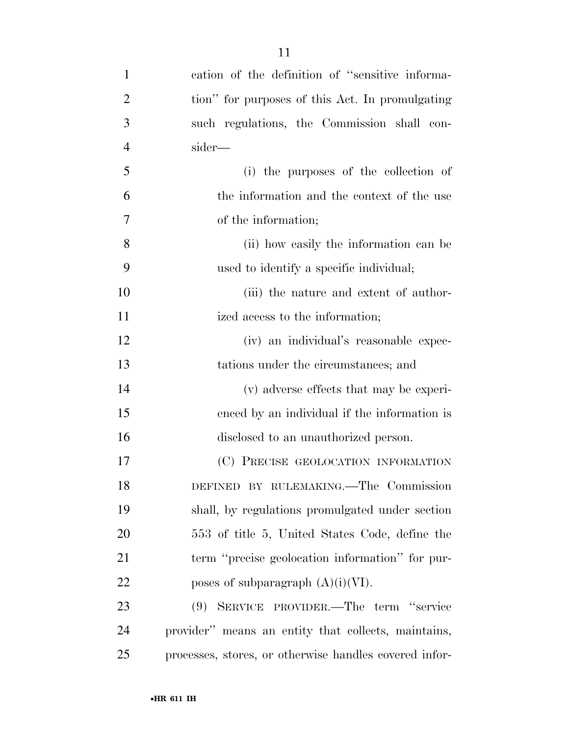cation of the definition of ''sensitive informa- tion'' for purposes of this Act. In promulgating such regulations, the Commission shall con- sider— (i) the purposes of the collection of the information and the context of the use of the information; (ii) how easily the information can be used to identify a specific individual; 10 (iii) the nature and extent of author-11 ized access to the information; (iv) an individual's reasonable expec- tations under the circumstances; and (v) adverse effects that may be experi- enced by an individual if the information is disclosed to an unauthorized person. (C) PRECISE GEOLOCATION INFORMATION DEFINED BY RULEMAKING.—The Commission shall, by regulations promulgated under section 553 of title 5, United States Code, define the term ''precise geolocation information'' for pur-22 poses of subparagraph  $(A)(i)(VI)$ . (9) SERVICE PROVIDER.—The term ''service

 provider'' means an entity that collects, maintains, processes, stores, or otherwise handles covered infor-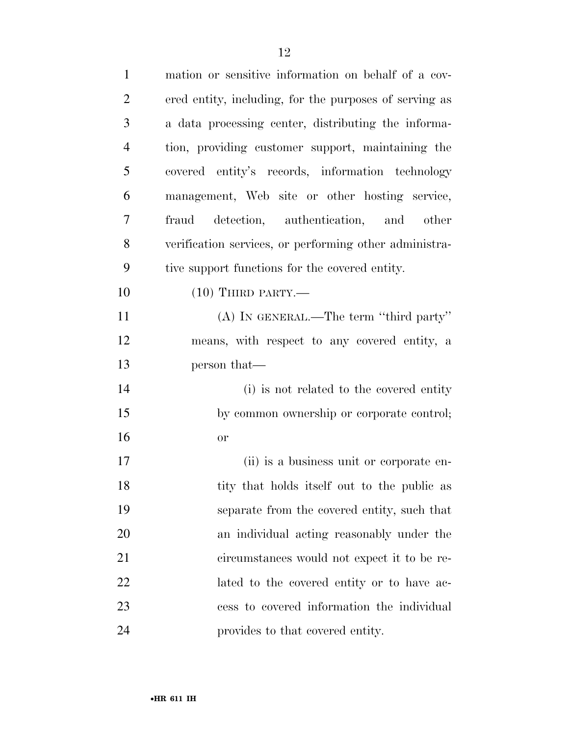| $\mathbf{1}$   | mation or sensitive information on behalf of a cov-    |
|----------------|--------------------------------------------------------|
| $\overline{2}$ | ered entity, including, for the purposes of serving as |
| 3              | a data processing center, distributing the informa-    |
| $\overline{4}$ | tion, providing customer support, maintaining the      |
| 5              | covered entity's records, information technology       |
| 6              | management, Web site or other hosting service,         |
| 7              | fraud detection, authentication, and other             |
| 8              | verification services, or performing other administra- |
| 9              | tive support functions for the covered entity.         |
| 10             | $(10)$ THIRD PARTY.—                                   |
| 11             | (A) IN GENERAL.—The term "third party"                 |
| 12             | means, with respect to any covered entity, a           |
| 13             | person that—                                           |
| 14             | (i) is not related to the covered entity               |
| 15             | by common ownership or corporate control;              |
| 16             | <b>or</b>                                              |
| 17             | (ii) is a business unit or corporate en-               |
| 18             | tity that holds itself out to the public as            |
| 19             | separate from the covered entity, such that            |
| 20             | an individual acting reasonably under the              |
| 21             | circumstances would not expect it to be re-            |
| 22             | lated to the covered entity or to have ac-             |
| 23             | cess to covered information the individual             |
| 24             | provides to that covered entity.                       |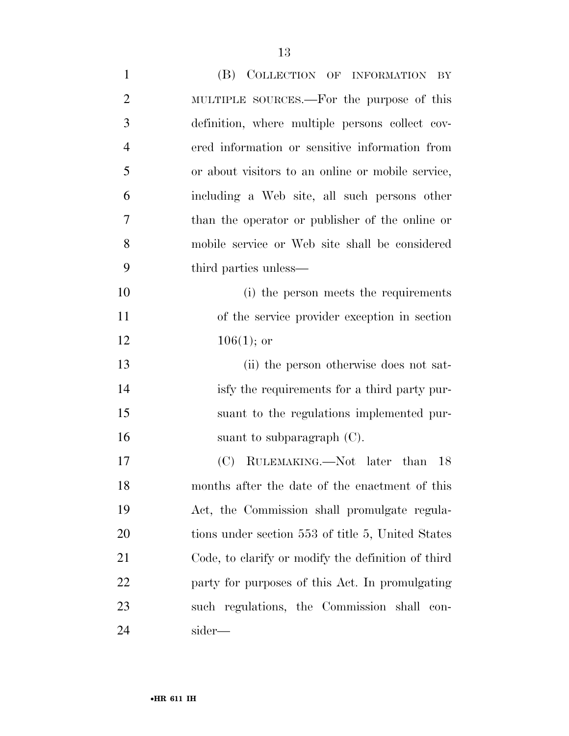| $\mathbf{1}$   | (B) COLLECTION OF INFORMATION BY                   |
|----------------|----------------------------------------------------|
| $\overline{2}$ | MULTIPLE SOURCES.—For the purpose of this          |
| 3              | definition, where multiple persons collect cov-    |
| $\overline{4}$ | ered information or sensitive information from     |
| 5              | or about visitors to an online or mobile service,  |
| 6              | including a Web site, all such persons other       |
| 7              | than the operator or publisher of the online or    |
| 8              | mobile service or Web site shall be considered     |
| 9              | third parties unless—                              |
| 10             | (i) the person meets the requirements              |
| 11             | of the service provider exception in section       |
| 12             | $106(1)$ ; or                                      |
| 13             | (ii) the person otherwise does not sat-            |
| 14             | isfy the requirements for a third party pur-       |
| 15             | suant to the regulations implemented pur-          |
| 16             | suant to subparagraph $(C)$ .                      |
| 17             | (C) RULEMAKING.—Not later than 18                  |
| 18             | months after the date of the enactment of this     |
| 19             | Act, the Commission shall promulgate regula-       |
| 20             | tions under section 553 of title 5, United States  |
| 21             | Code, to clarify or modify the definition of third |
| 22             | party for purposes of this Act. In promulgating    |
| 23             | such regulations, the Commission shall con-        |
| 24             | sider—                                             |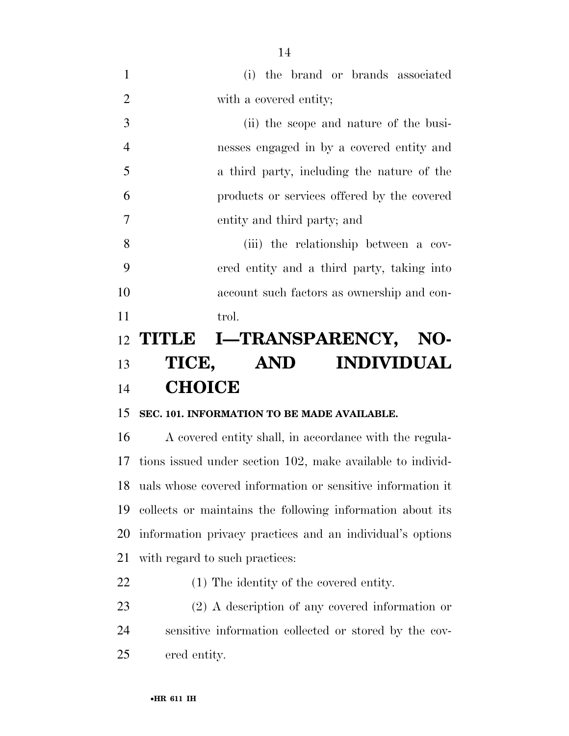| $\mathbf{1}$   | (i) the brand or brands associated          |
|----------------|---------------------------------------------|
| $\overline{2}$ | with a covered entity;                      |
| 3              | (ii) the scope and nature of the busi-      |
| $\overline{4}$ | nesses engaged in by a covered entity and   |
| 5              | a third party, including the nature of the  |
| 6              | products or services offered by the covered |
| 7              | entity and third party; and                 |
| 8              | (iii) the relationship between a cov-       |
| 9              | ered entity and a third party, taking into  |
| 10             | account such factors as ownership and con-  |
| 11             | trol.                                       |
|                | 12 TITLE I—TRANSPARENCY,<br>NO-             |
| 13             | <b>INDIVIDUAL</b><br>TICE, AND              |
| 14             | <b>CHOICE</b>                               |

## **SEC. 101. INFORMATION TO BE MADE AVAILABLE.**

 A covered entity shall, in accordance with the regula- tions issued under section 102, make available to individ- uals whose covered information or sensitive information it collects or maintains the following information about its information privacy practices and an individual's options with regard to such practices:

- (1) The identity of the covered entity.
- (2) A description of any covered information or sensitive information collected or stored by the cov-ered entity.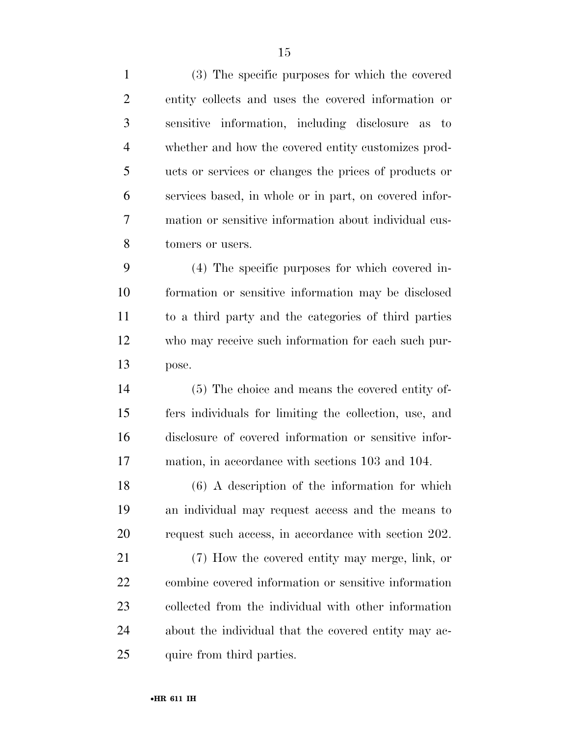(3) The specific purposes for which the covered entity collects and uses the covered information or sensitive information, including disclosure as to whether and how the covered entity customizes prod- ucts or services or changes the prices of products or services based, in whole or in part, on covered infor- mation or sensitive information about individual cus-tomers or users.

 (4) The specific purposes for which covered in- formation or sensitive information may be disclosed to a third party and the categories of third parties who may receive such information for each such pur-pose.

 (5) The choice and means the covered entity of- fers individuals for limiting the collection, use, and disclosure of covered information or sensitive infor-mation, in accordance with sections 103 and 104.

 (6) A description of the information for which an individual may request access and the means to request such access, in accordance with section 202.

 (7) How the covered entity may merge, link, or combine covered information or sensitive information collected from the individual with other information about the individual that the covered entity may ac-25 quire from third parties.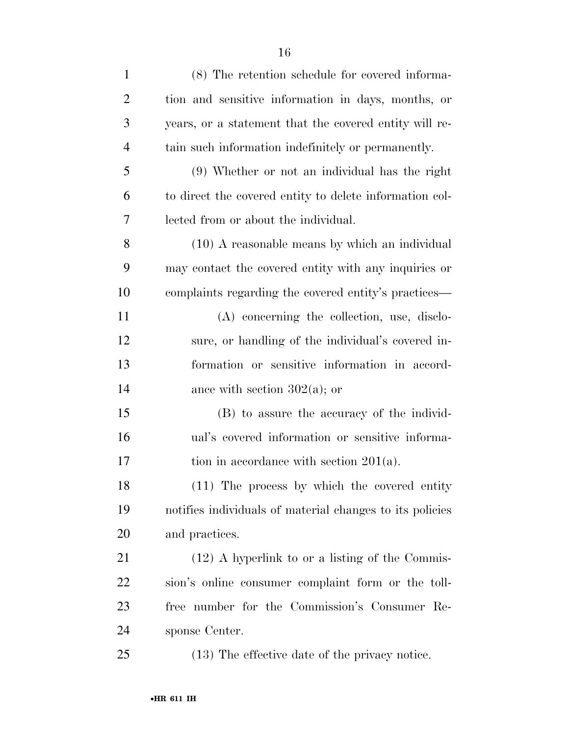| $\mathbf{1}$   | (8) The retention schedule for covered informa-          |
|----------------|----------------------------------------------------------|
| $\overline{2}$ | tion and sensitive information in days, months, or       |
| 3              | years, or a statement that the covered entity will re-   |
| $\overline{4}$ | tain such information indefinitely or permanently.       |
| 5              | (9) Whether or not an individual has the right           |
| 6              | to direct the covered entity to delete information col-  |
| 7              | lected from or about the individual.                     |
| 8              | (10) A reasonable means by which an individual           |
| 9              | may contact the covered entity with any inquiries or     |
| 10             | complaints regarding the covered entity's practices—     |
| 11             | (A) concerning the collection, use, disclo-              |
| 12             | sure, or handling of the individual's covered in-        |
| 13             | formation or sensitive information in accord-            |
| 14             | ance with section $302(a)$ ; or                          |
| 15             | (B) to assure the accuracy of the individ-               |
| 16             | ual's covered information or sensitive informa-          |
| 17             | tion in accordance with section $201(a)$ .               |
| 18             | (11) The process by which the covered entity             |
| 19             | notifies individuals of material changes to its policies |
| 20             | and practices.                                           |
| 21             | $(12)$ A hyperlink to or a listing of the Commis-        |
| 22             | sion's online consumer complaint form or the toll-       |
| 23             | free number for the Commission's Consumer Re-            |
| 24             | sponse Center.                                           |
| 25             | (13) The effective date of the privacy notice.           |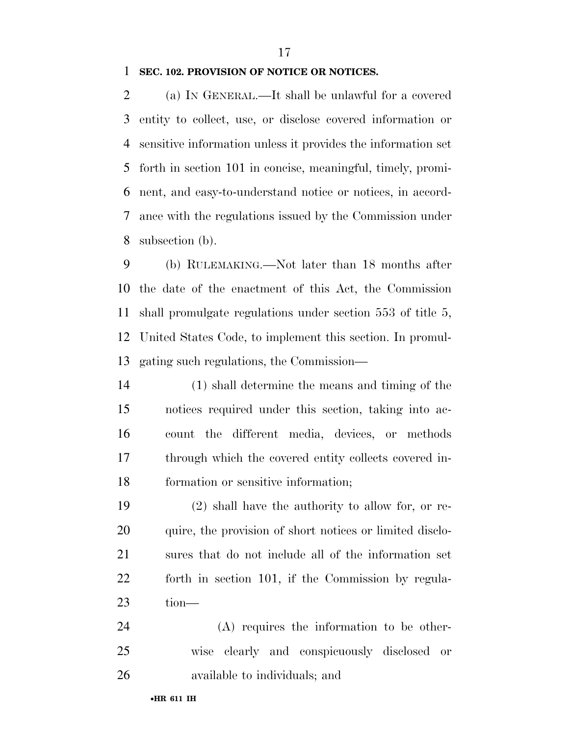#### **SEC. 102. PROVISION OF NOTICE OR NOTICES.**

 (a) IN GENERAL.—It shall be unlawful for a covered entity to collect, use, or disclose covered information or sensitive information unless it provides the information set forth in section 101 in concise, meaningful, timely, promi- nent, and easy-to-understand notice or notices, in accord- ance with the regulations issued by the Commission under subsection (b).

 (b) RULEMAKING.—Not later than 18 months after the date of the enactment of this Act, the Commission shall promulgate regulations under section 553 of title 5, United States Code, to implement this section. In promul-gating such regulations, the Commission—

 (1) shall determine the means and timing of the notices required under this section, taking into ac- count the different media, devices, or methods through which the covered entity collects covered in-formation or sensitive information;

 (2) shall have the authority to allow for, or re- quire, the provision of short notices or limited disclo- sures that do not include all of the information set forth in section 101, if the Commission by regula-tion—

 (A) requires the information to be other- wise clearly and conspicuously disclosed or available to individuals; and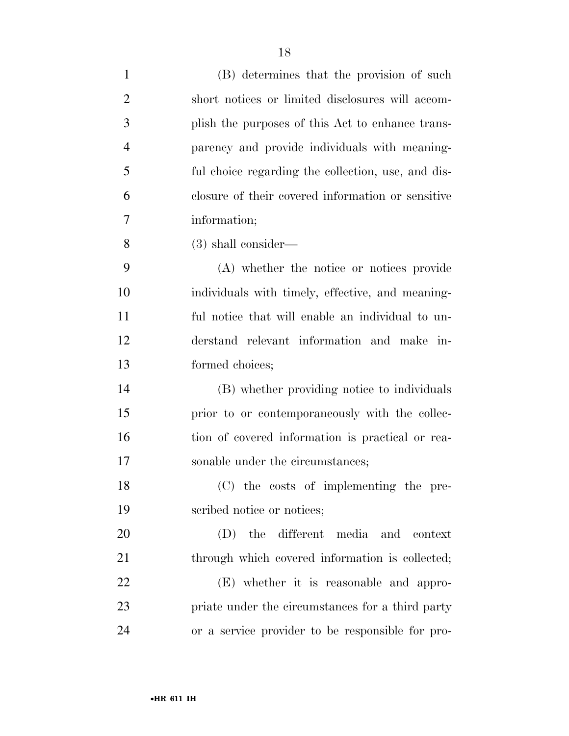| $\mathbf{1}$   | (B) determines that the provision of such          |
|----------------|----------------------------------------------------|
| $\overline{2}$ | short notices or limited disclosures will accom-   |
| 3              | plish the purposes of this Act to enhance trans-   |
| 4              | parency and provide individuals with meaning-      |
| 5              | ful choice regarding the collection, use, and dis- |
| 6              | closure of their covered information or sensitive  |
| 7              | information;                                       |
| 8              | $(3)$ shall consider—                              |
| 9              | (A) whether the notice or notices provide          |
| 10             | individuals with timely, effective, and meaning-   |
| 11             | ful notice that will enable an individual to un-   |
| 12             | derstand relevant information and make in-         |
| 13             | formed choices;                                    |
| 14             | (B) whether providing notice to individuals        |
| 15             | prior to or contemporaneously with the collec-     |
| 16             | tion of covered information is practical or rea-   |
| 17             | sonable under the circumstances;                   |
| 18             | (C) the costs of implementing the pre-             |
| 19             | scribed notice or notices;                         |
| 20             | the different media and context<br>(D)             |
| 21             | through which covered information is collected;    |
| 22             | (E) whether it is reasonable and appro-            |
| 23             | priate under the circumstances for a third party   |
| 24             | or a service provider to be responsible for pro-   |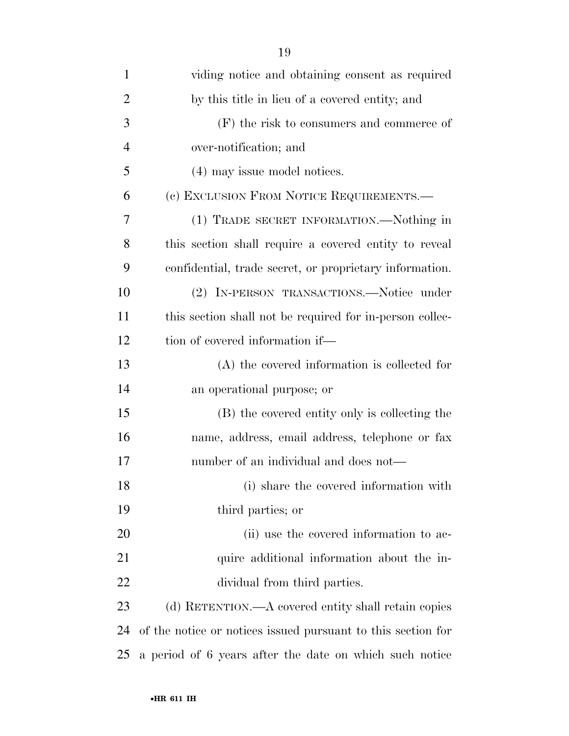| $\mathbf{1}$   | viding notice and obtaining consent as required              |
|----------------|--------------------------------------------------------------|
| $\overline{2}$ | by this title in lieu of a covered entity; and               |
| 3              | $(F)$ the risk to consumers and commerce of                  |
| $\overline{4}$ | over-notification; and                                       |
| 5              | (4) may issue model notices.                                 |
| 6              | (c) EXCLUSION FROM NOTICE REQUIREMENTS.—                     |
| 7              | (1) TRADE SECRET INFORMATION.—Nothing in                     |
| 8              | this section shall require a covered entity to reveal        |
| 9              | confidential, trade secret, or proprietary information.      |
| 10             | (2) IN-PERSON TRANSACTIONS.—Notice under                     |
| 11             | this section shall not be required for in-person collec-     |
| 12             | tion of covered information if—                              |
| 13             | (A) the covered information is collected for                 |
| 14             | an operational purpose; or                                   |
| 15             | (B) the covered entity only is collecting the                |
| 16             | name, address, email address, telephone or fax               |
| 17             | number of an individual and does not—                        |
| 18             | (i) share the covered information with                       |
| 19             | third parties; or                                            |
| 20             | (ii) use the covered information to ac-                      |
| 21             | quire additional information about the in-                   |
| 22             | dividual from third parties.                                 |
| 23             | (d) RETENTION.—A covered entity shall retain copies          |
| 24             | of the notice or notices issued pursuant to this section for |
| 25             | a period of 6 years after the date on which such notice      |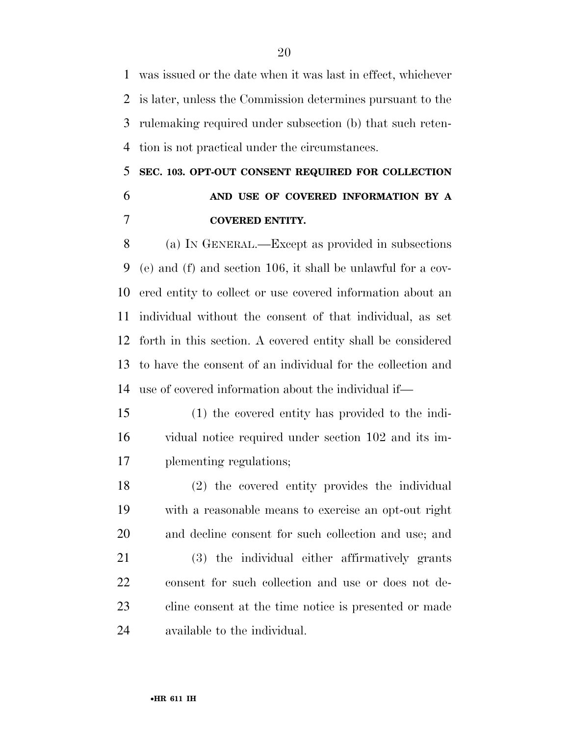was issued or the date when it was last in effect, whichever is later, unless the Commission determines pursuant to the rulemaking required under subsection (b) that such reten-tion is not practical under the circumstances.

## **SEC. 103. OPT-OUT CONSENT REQUIRED FOR COLLECTION AND USE OF COVERED INFORMATION BY A COVERED ENTITY.**

 (a) IN GENERAL.—Except as provided in subsections (e) and (f) and section 106, it shall be unlawful for a cov- ered entity to collect or use covered information about an individual without the consent of that individual, as set forth in this section. A covered entity shall be considered to have the consent of an individual for the collection and use of covered information about the individual if—

- (1) the covered entity has provided to the indi- vidual notice required under section 102 and its im-plementing regulations;
- (2) the covered entity provides the individual with a reasonable means to exercise an opt-out right and decline consent for such collection and use; and
- (3) the individual either affirmatively grants consent for such collection and use or does not de- cline consent at the time notice is presented or made available to the individual.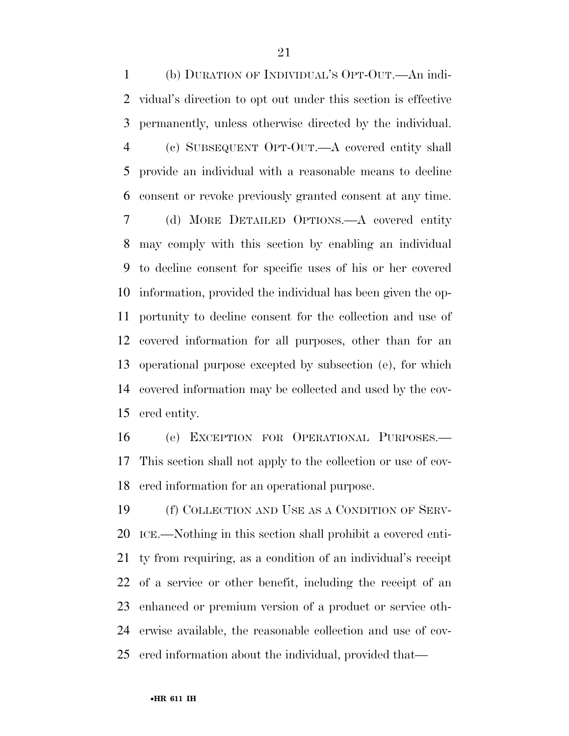(b) DURATION OF INDIVIDUAL'S OPT-OUT.—An indi- vidual's direction to opt out under this section is effective permanently, unless otherwise directed by the individual. (c) SUBSEQUENT OPT-OUT.—A covered entity shall provide an individual with a reasonable means to decline consent or revoke previously granted consent at any time. (d) MORE DETAILED OPTIONS.—A covered entity may comply with this section by enabling an individual to decline consent for specific uses of his or her covered information, provided the individual has been given the op- portunity to decline consent for the collection and use of covered information for all purposes, other than for an operational purpose excepted by subsection (e), for which covered information may be collected and used by the cov-ered entity.

 (e) EXCEPTION FOR OPERATIONAL PURPOSES.— This section shall not apply to the collection or use of cov-ered information for an operational purpose.

 (f) COLLECTION AND USE AS A CONDITION OF SERV- ICE.—Nothing in this section shall prohibit a covered enti- ty from requiring, as a condition of an individual's receipt of a service or other benefit, including the receipt of an enhanced or premium version of a product or service oth- erwise available, the reasonable collection and use of cov-ered information about the individual, provided that—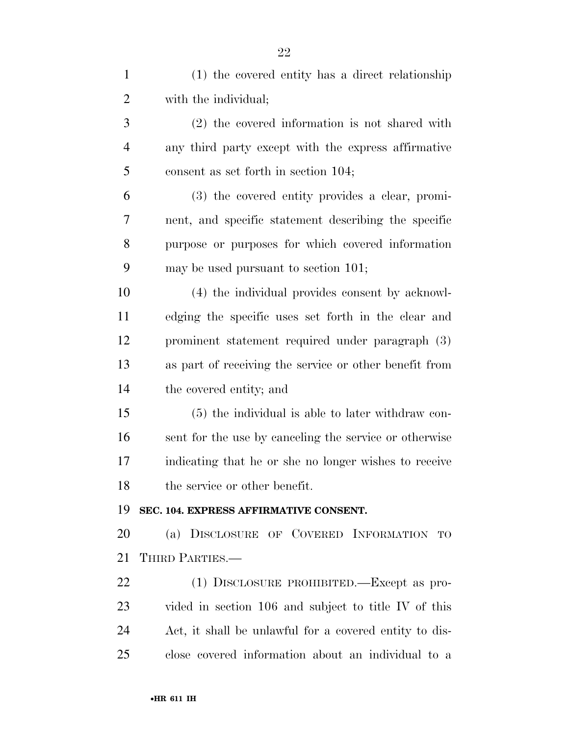| $\mathbf{1}$   | (1) the covered entity has a direct relationship       |
|----------------|--------------------------------------------------------|
| $\overline{2}$ | with the individual;                                   |
| 3              | $(2)$ the covered information is not shared with       |
| $\overline{4}$ | any third party except with the express affirmative    |
| 5              | consent as set forth in section 104;                   |
| 6              | (3) the covered entity provides a clear, promi-        |
| 7              | nent, and specific statement describing the specific   |
| 8              | purpose or purposes for which covered information      |
| 9              | may be used pursuant to section 101;                   |
| 10             | (4) the individual provides consent by acknowl-        |
| 11             | edging the specific uses set forth in the clear and    |
| 12             | prominent statement required under paragraph (3)       |
| 13             | as part of receiving the service or other benefit from |
| 14             | the covered entity; and                                |
| 15             | $(5)$ the individual is able to later withdraw con-    |
| 16             | sent for the use by canceling the service or otherwise |
| 17             | indicating that he or she no longer wishes to receive  |
| 18             | the service or other benefit.                          |
| 19             | SEC. 104. EXPRESS AFFIRMATIVE CONSENT.                 |
| <b>20</b>      | (a) DISCLOSURE OF COVERED INFORMATION TO               |
| 21             | THIRD PARTIES.—                                        |
| <u>22</u>      | (1) DISCLOSURE PROHIBITED.—Except as pro-              |
| 23             | vided in section 106 and subject to title IV of this   |
| 24             | Act, it shall be unlawful for a covered entity to dis- |
| 25             | close covered information about an individual to a     |
|                |                                                        |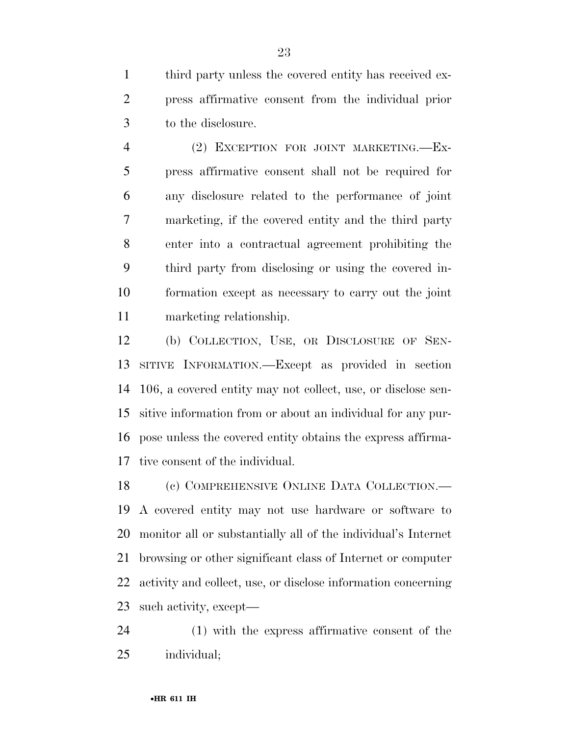third party unless the covered entity has received ex- press affirmative consent from the individual prior to the disclosure.

 (2) EXCEPTION FOR JOINT MARKETING.—Ex- press affirmative consent shall not be required for any disclosure related to the performance of joint marketing, if the covered entity and the third party enter into a contractual agreement prohibiting the third party from disclosing or using the covered in- formation except as necessary to carry out the joint marketing relationship.

 (b) COLLECTION, USE, OR DISCLOSURE OF SEN- SITIVE INFORMATION.—Except as provided in section 106, a covered entity may not collect, use, or disclose sen- sitive information from or about an individual for any pur- pose unless the covered entity obtains the express affirma-tive consent of the individual.

 (c) COMPREHENSIVE ONLINE DATA COLLECTION.— A covered entity may not use hardware or software to monitor all or substantially all of the individual's Internet browsing or other significant class of Internet or computer activity and collect, use, or disclose information concerning such activity, except—

 (1) with the express affirmative consent of the individual;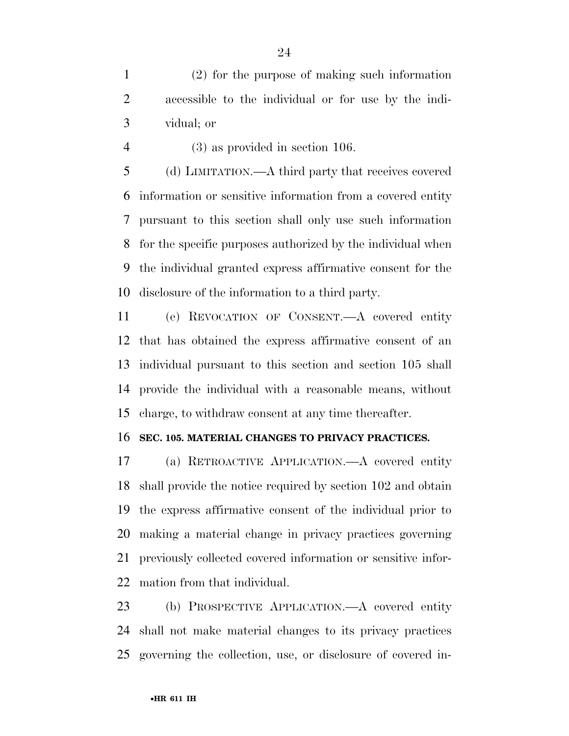(2) for the purpose of making such information accessible to the individual or for use by the indi-vidual; or

(3) as provided in section 106.

 (d) LIMITATION.—A third party that receives covered information or sensitive information from a covered entity pursuant to this section shall only use such information for the specific purposes authorized by the individual when the individual granted express affirmative consent for the disclosure of the information to a third party.

 (e) REVOCATION OF CONSENT.—A covered entity that has obtained the express affirmative consent of an individual pursuant to this section and section 105 shall provide the individual with a reasonable means, without charge, to withdraw consent at any time thereafter.

#### **SEC. 105. MATERIAL CHANGES TO PRIVACY PRACTICES.**

 (a) RETROACTIVE APPLICATION.—A covered entity shall provide the notice required by section 102 and obtain the express affirmative consent of the individual prior to making a material change in privacy practices governing previously collected covered information or sensitive infor-mation from that individual.

 (b) PROSPECTIVE APPLICATION.—A covered entity shall not make material changes to its privacy practices governing the collection, use, or disclosure of covered in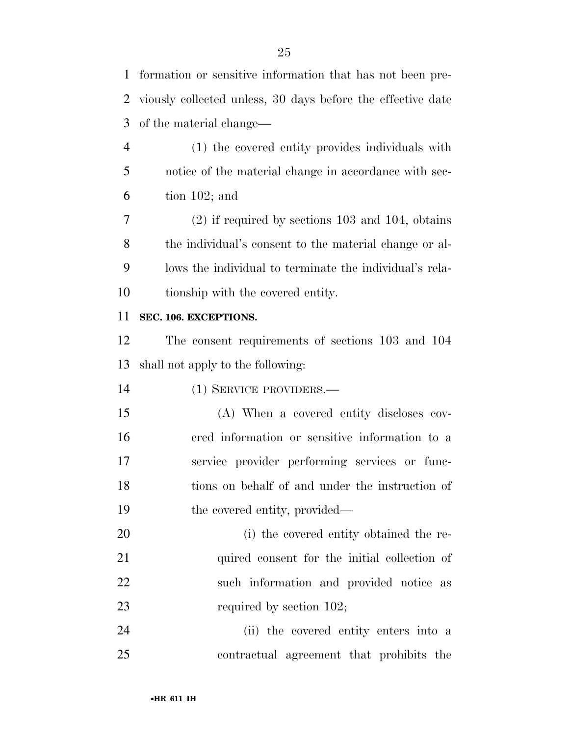formation or sensitive information that has not been pre-

 viously collected unless, 30 days before the effective date of the material change— (1) the covered entity provides individuals with notice of the material change in accordance with sec- tion 102; and (2) if required by sections 103 and 104, obtains the individual's consent to the material change or al- lows the individual to terminate the individual's rela- tionship with the covered entity. **SEC. 106. EXCEPTIONS.**  The consent requirements of sections 103 and 104 shall not apply to the following: (1) SERVICE PROVIDERS.— (A) When a covered entity discloses cov- ered information or sensitive information to a service provider performing services or func- tions on behalf of and under the instruction of 19 the covered entity, provided— (i) the covered entity obtained the re-21 quired consent for the initial collection of such information and provided notice as 23 required by section 102; (ii) the covered entity enters into a contractual agreement that prohibits the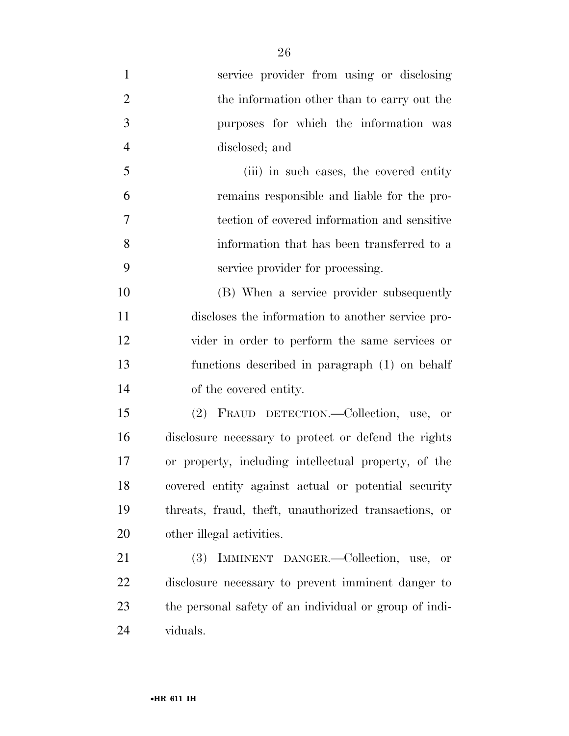| $\mathbf{1}$   | service provider from using or disclosing              |
|----------------|--------------------------------------------------------|
| $\overline{2}$ | the information other than to carry out the            |
| 3              | purposes for which the information was                 |
| $\overline{4}$ | disclosed; and                                         |
| 5              | (iii) in such cases, the covered entity                |
| 6              | remains responsible and liable for the pro-            |
| 7              | tection of covered information and sensitive           |
| 8              | information that has been transferred to a             |
| 9              | service provider for processing.                       |
| 10             | (B) When a service provider subsequently               |
| 11             | discloses the information to another service pro-      |
| 12             | vider in order to perform the same services or         |
| 13             | functions described in paragraph (1) on behalf         |
| 14             | of the covered entity.                                 |
| 15             | (2) FRAUD DETECTION.—Collection, use, or               |
| 16             | disclosure necessary to protect or defend the rights   |
| 17             | or property, including intellectual property, of the   |
| 18             | covered entity against actual or potential security    |
| 19             | threats, fraud, theft, unauthorized transactions, or   |
| 20             | other illegal activities.                              |
| 21             | IMMINENT DANGER.—Collection, use, or<br><b>(3)</b>     |
| 22             | disclosure necessary to prevent imminent danger to     |
| 23             | the personal safety of an individual or group of indi- |
| 24             | viduals.                                               |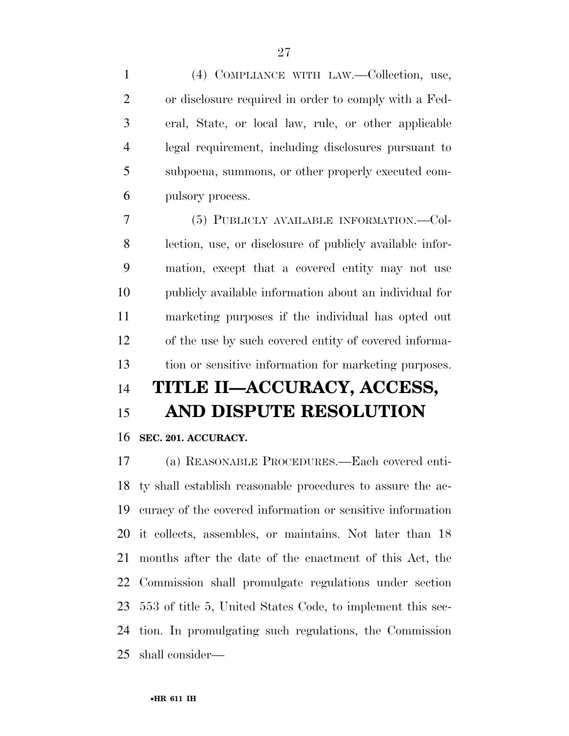(4) COMPLIANCE WITH LAW.—Collection, use, or disclosure required in order to comply with a Fed- eral, State, or local law, rule, or other applicable legal requirement, including disclosures pursuant to subpoena, summons, or other properly executed com-pulsory process.

 (5) PUBLICLY AVAILABLE INFORMATION.—Col- lection, use, or disclosure of publicly available infor- mation, except that a covered entity may not use publicly available information about an individual for marketing purposes if the individual has opted out of the use by such covered entity of covered informa-tion or sensitive information for marketing purposes.

# **TITLE II—ACCURACY, ACCESS,**

## **AND DISPUTE RESOLUTION**

## **SEC. 201. ACCURACY.**

 (a) REASONABLE PROCEDURES.—Each covered enti- ty shall establish reasonable procedures to assure the ac- curacy of the covered information or sensitive information it collects, assembles, or maintains. Not later than 18 months after the date of the enactment of this Act, the Commission shall promulgate regulations under section 553 of title 5, United States Code, to implement this sec- tion. In promulgating such regulations, the Commission shall consider—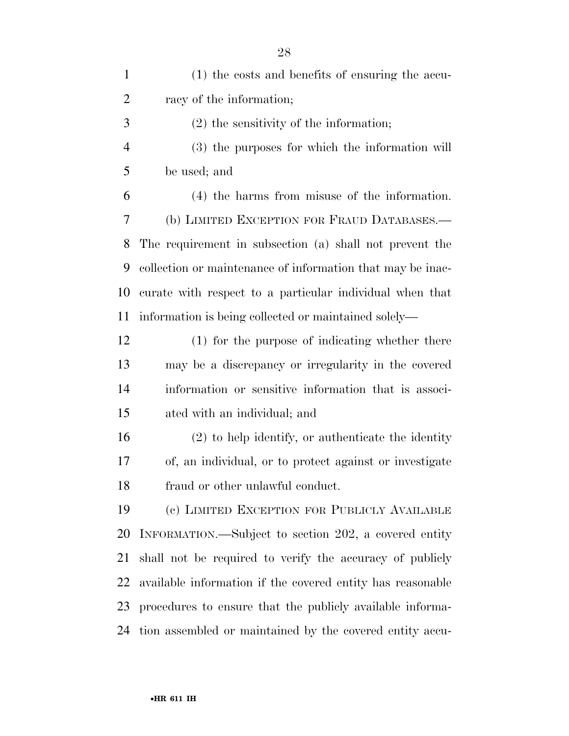| $\mathbf{1}$   | (1) the costs and benefits of ensuring the accu-           |
|----------------|------------------------------------------------------------|
| $\overline{2}$ | racy of the information;                                   |
| 3              | $(2)$ the sensitivity of the information;                  |
| $\overline{4}$ | (3) the purposes for which the information will            |
| 5              | be used; and                                               |
| 6              | $(4)$ the harms from misuse of the information.            |
| 7              | (b) LIMITED EXCEPTION FOR FRAUD DATABASES.—                |
| 8              | The requirement in subsection (a) shall not prevent the    |
| 9              | collection or maintenance of information that may be inac- |
| 10             | curate with respect to a particular individual when that   |
| 11             | information is being collected or maintained solely—       |
| 12             | (1) for the purpose of indicating whether there            |
| 13             | may be a discrepancy or irregularity in the covered        |
| 14             | information or sensitive information that is associ-       |
| 15             | ated with an individual; and                               |
| 16             | $(2)$ to help identify, or authenticate the identity       |
| 17             | of, an individual, or to protect against or investigate    |
| 18             | fraud or other unlawful conduct.                           |
| 19             | (c) LIMITED EXCEPTION FOR PUBLICLY AVAILABLE               |
| 20             | INFORMATION.—Subject to section 202, a covered entity      |
| 21             | shall not be required to verify the accuracy of publicly   |
| 22             | available information if the covered entity has reasonable |
| 23             | procedures to ensure that the publicly available informa-  |
| 24             | tion assembled or maintained by the covered entity accu-   |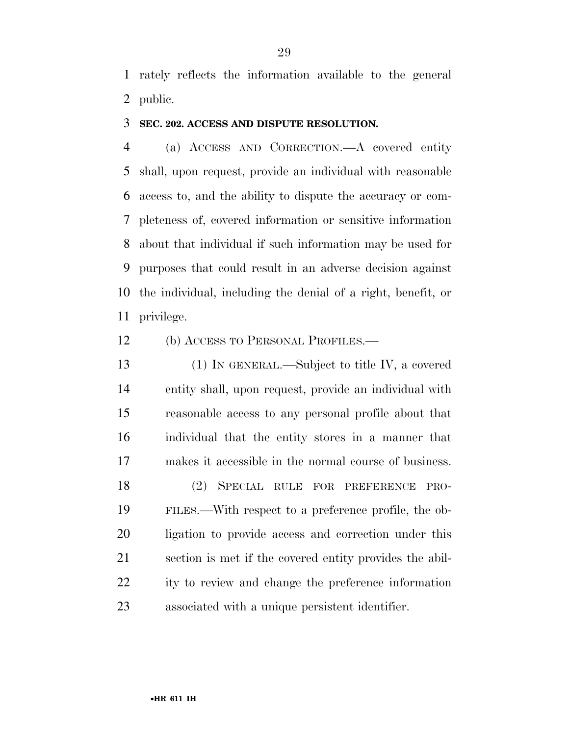rately reflects the information available to the general public.

#### **SEC. 202. ACCESS AND DISPUTE RESOLUTION.**

 (a) ACCESS AND CORRECTION.—A covered entity shall, upon request, provide an individual with reasonable access to, and the ability to dispute the accuracy or com- pleteness of, covered information or sensitive information about that individual if such information may be used for purposes that could result in an adverse decision against the individual, including the denial of a right, benefit, or privilege.

(b) ACCESS TO PERSONAL PROFILES.—

 (1) IN GENERAL.—Subject to title IV, a covered entity shall, upon request, provide an individual with reasonable access to any personal profile about that individual that the entity stores in a manner that makes it accessible in the normal course of business. (2) SPECIAL RULE FOR PREFERENCE PRO- FILES.—With respect to a preference profile, the ob- ligation to provide access and correction under this section is met if the covered entity provides the abil- ity to review and change the preference information associated with a unique persistent identifier.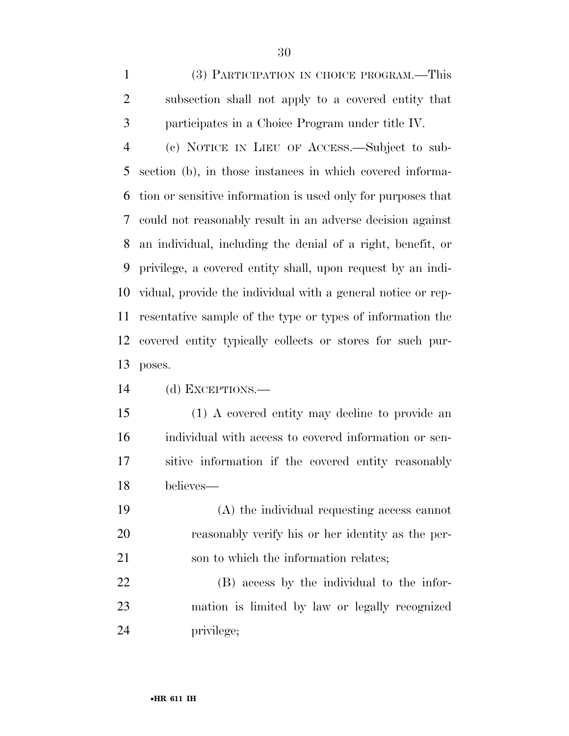(3) PARTICIPATION IN CHOICE PROGRAM.—This subsection shall not apply to a covered entity that participates in a Choice Program under title IV.

 (c) NOTICE IN LIEU OF ACCESS.—Subject to sub- section (b), in those instances in which covered informa- tion or sensitive information is used only for purposes that could not reasonably result in an adverse decision against an individual, including the denial of a right, benefit, or privilege, a covered entity shall, upon request by an indi- vidual, provide the individual with a general notice or rep- resentative sample of the type or types of information the covered entity typically collects or stores for such pur-poses.

(d) EXCEPTIONS.—

 (1) A covered entity may decline to provide an individual with access to covered information or sen- sitive information if the covered entity reasonably believes—

 (A) the individual requesting access cannot reasonably verify his or her identity as the per-son to which the information relates;

 (B) access by the individual to the infor- mation is limited by law or legally recognized privilege;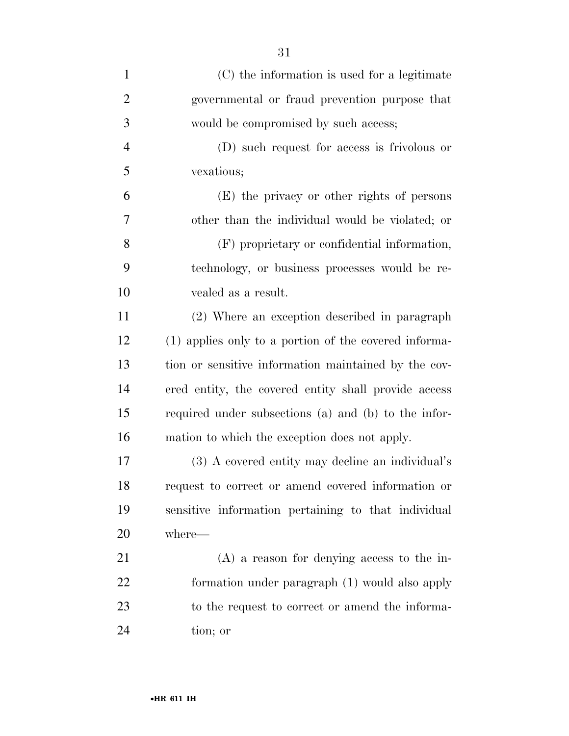| $\mathbf{1}$   | (C) the information is used for a legitimate          |
|----------------|-------------------------------------------------------|
| $\overline{2}$ | governmental or fraud prevention purpose that         |
| 3              | would be compromised by such access;                  |
| $\overline{4}$ | (D) such request for access is frivolous or           |
| 5              | vexatious;                                            |
| 6              | (E) the privacy or other rights of persons            |
| 7              | other than the individual would be violated; or       |
| 8              | (F) proprietary or confidential information,          |
| 9              | technology, or business processes would be re-        |
| 10             | vealed as a result.                                   |
| 11             | (2) Where an exception described in paragraph         |
| 12             | (1) applies only to a portion of the covered informa- |
| 13             | tion or sensitive information maintained by the cov-  |
| 14             | ered entity, the covered entity shall provide access  |
| 15             | required under subsections (a) and (b) to the infor-  |
| 16             | mation to which the exception does not apply.         |
| 17             | (3) A covered entity may decline an individual's      |
| 18             | request to correct or amend covered information or    |
| 19             | sensitive information pertaining to that individual   |
| 20             | where—                                                |
| 21             | $(A)$ a reason for denying access to the in-          |
| 22             | formation under paragraph (1) would also apply        |
| 23             | to the request to correct or amend the informa-       |
| 24             | tion; or                                              |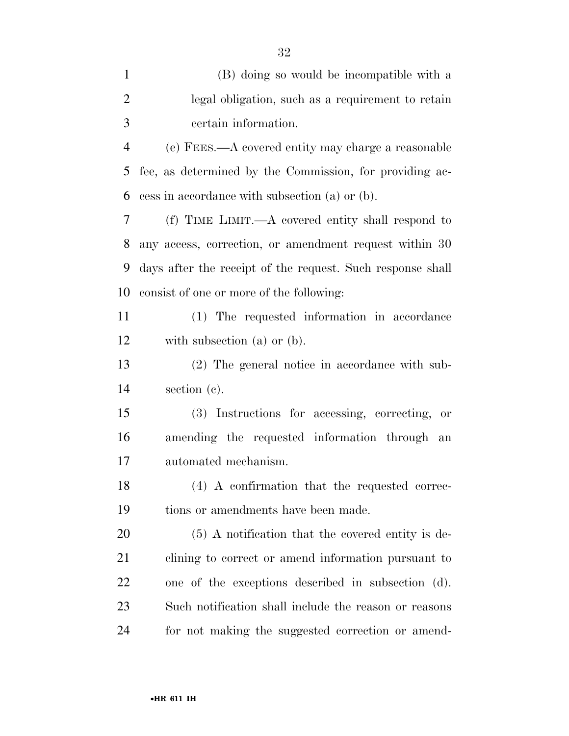| $\mathbf{1}$   | (B) doing so would be incompatible with a                  |
|----------------|------------------------------------------------------------|
| $\overline{2}$ | legal obligation, such as a requirement to retain          |
| 3              | certain information.                                       |
| $\overline{4}$ | (e) FEES.—A covered entity may charge a reasonable         |
| 5              | fee, as determined by the Commission, for providing ac-    |
| 6              | cess in accordance with subsection (a) or (b).             |
| 7              | (f) TIME LIMIT.—A covered entity shall respond to          |
| 8              | any access, correction, or amendment request within 30     |
| 9              | days after the receipt of the request. Such response shall |
| 10             | consist of one or more of the following:                   |
| 11             | (1) The requested information in accordance                |
| 12             | with subsection $(a)$ or $(b)$ .                           |
| 13             | (2) The general notice in accordance with sub-             |
| 14             | section (c).                                               |
| 15             | (3) Instructions for accessing, correcting, or             |
| 16             | amending the requested information through an              |
| 17             | automated mechanism.                                       |
| 18             | (4) A confirmation that the requested correc-              |
| 19             | tions or amendments have been made.                        |
| 20             | $(5)$ A notification that the covered entity is de-        |
| 21             | clining to correct or amend information pursuant to        |
| 22             | one of the exceptions described in subsection (d).         |
| 23             | Such notification shall include the reason or reasons      |
| 24             | for not making the suggested correction or amend-          |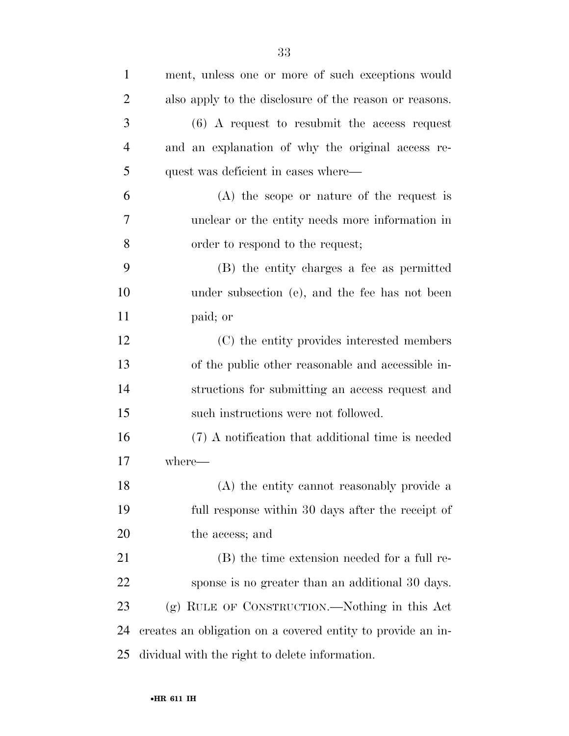| $\mathbf{1}$   | ment, unless one or more of such exceptions would           |
|----------------|-------------------------------------------------------------|
| $\overline{2}$ | also apply to the disclosure of the reason or reasons.      |
| 3              | $(6)$ A request to resubmit the access request              |
| $\overline{4}$ | and an explanation of why the original access re-           |
| 5              | quest was deficient in cases where—                         |
| 6              | (A) the scope or nature of the request is                   |
| 7              | unclear or the entity needs more information in             |
| 8              | order to respond to the request;                            |
| 9              | (B) the entity charges a fee as permitted                   |
| 10             | under subsection (e), and the fee has not been              |
| 11             | paid; or                                                    |
| 12             | (C) the entity provides interested members                  |
| 13             | of the public other reasonable and accessible in-           |
| 14             | structions for submitting an access request and             |
| 15             | such instructions were not followed.                        |
| 16             | (7) A notification that additional time is needed           |
| 17             | where-                                                      |
| 18             | (A) the entity cannot reasonably provide a                  |
| 19             | full response within 30 days after the receipt of           |
| 20             | the access; and                                             |
| 21             | (B) the time extension needed for a full re-                |
| 22             | sponse is no greater than an additional 30 days.            |
| 23             | (g) RULE OF CONSTRUCTION.—Nothing in this Act               |
| 24             | creates an obligation on a covered entity to provide an in- |
| 25             | dividual with the right to delete information.              |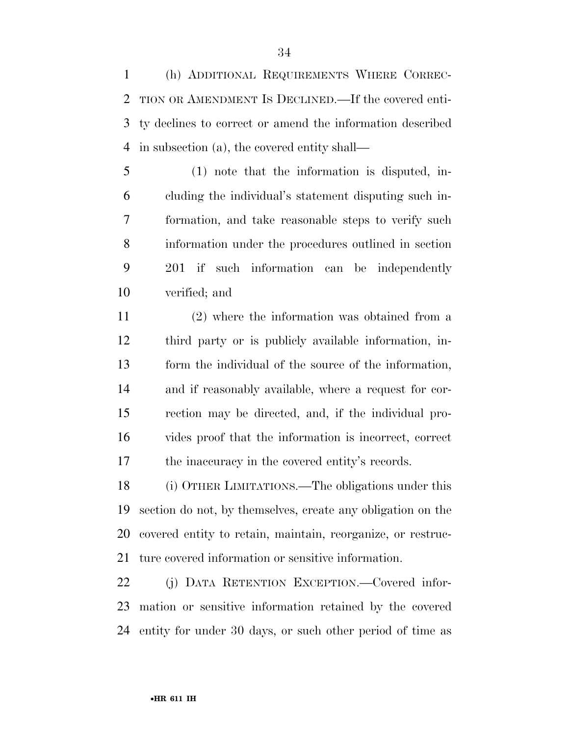(h) ADDITIONAL REQUIREMENTS WHERE CORREC- TION OR AMENDMENT IS DECLINED.—If the covered enti- ty declines to correct or amend the information described in subsection (a), the covered entity shall—

 (1) note that the information is disputed, in- cluding the individual's statement disputing such in- formation, and take reasonable steps to verify such information under the procedures outlined in section 201 if such information can be independently verified; and

 (2) where the information was obtained from a third party or is publicly available information, in- form the individual of the source of the information, and if reasonably available, where a request for cor- rection may be directed, and, if the individual pro- vides proof that the information is incorrect, correct the inaccuracy in the covered entity's records.

 (i) OTHER LIMITATIONS.—The obligations under this section do not, by themselves, create any obligation on the covered entity to retain, maintain, reorganize, or restruc-ture covered information or sensitive information.

 (j) DATA RETENTION EXCEPTION.—Covered infor- mation or sensitive information retained by the covered entity for under 30 days, or such other period of time as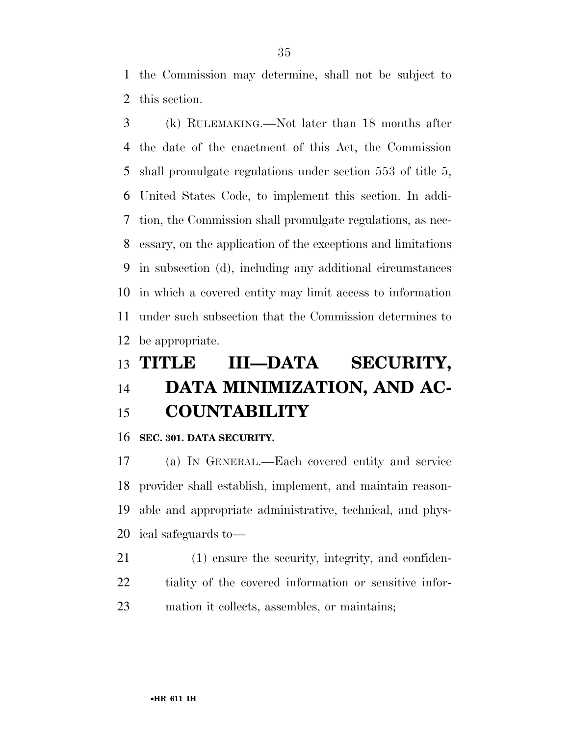the Commission may determine, shall not be subject to this section.

 (k) RULEMAKING.—Not later than 18 months after the date of the enactment of this Act, the Commission shall promulgate regulations under section 553 of title 5, United States Code, to implement this section. In addi- tion, the Commission shall promulgate regulations, as nec- essary, on the application of the exceptions and limitations in subsection (d), including any additional circumstances in which a covered entity may limit access to information under such subsection that the Commission determines to be appropriate.

# **TITLE III—DATA SECURITY, DATA MINIMIZATION, AND AC-COUNTABILITY**

**SEC. 301. DATA SECURITY.** 

 (a) IN GENERAL.—Each covered entity and service provider shall establish, implement, and maintain reason- able and appropriate administrative, technical, and phys-ical safeguards to—

 (1) ensure the security, integrity, and confiden- tiality of the covered information or sensitive infor-mation it collects, assembles, or maintains;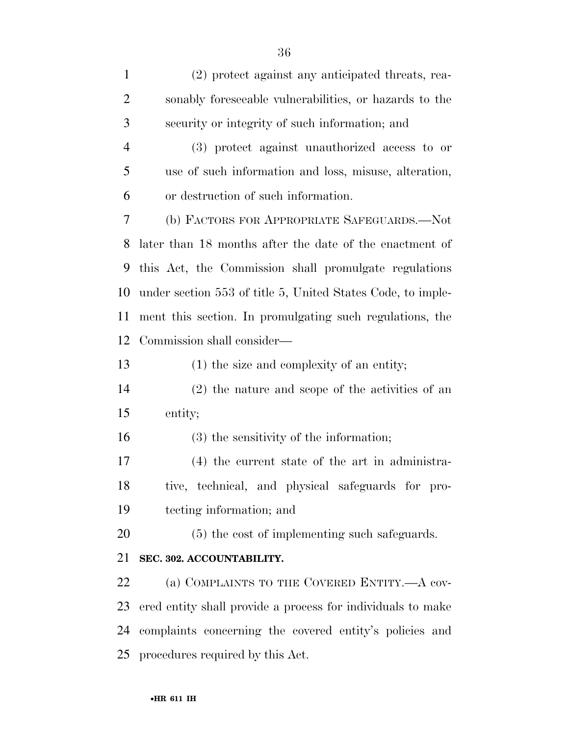(2) protect against any anticipated threats, rea- sonably foreseeable vulnerabilities, or hazards to the security or integrity of such information; and (3) protect against unauthorized access to or use of such information and loss, misuse, alteration, or destruction of such information. (b) FACTORS FOR APPROPRIATE SAFEGUARDS.—Not later than 18 months after the date of the enactment of this Act, the Commission shall promulgate regulations under section 553 of title 5, United States Code, to imple- ment this section. In promulgating such regulations, the Commission shall consider— (1) the size and complexity of an entity; (2) the nature and scope of the activities of an entity; (3) the sensitivity of the information; (4) the current state of the art in administra- tive, technical, and physical safeguards for pro- tecting information; and (5) the cost of implementing such safeguards. **SEC. 302. ACCOUNTABILITY.**  22 (a) COMPLAINTS TO THE COVERED ENTITY.—A cov- ered entity shall provide a process for individuals to make complaints concerning the covered entity's policies and procedures required by this Act.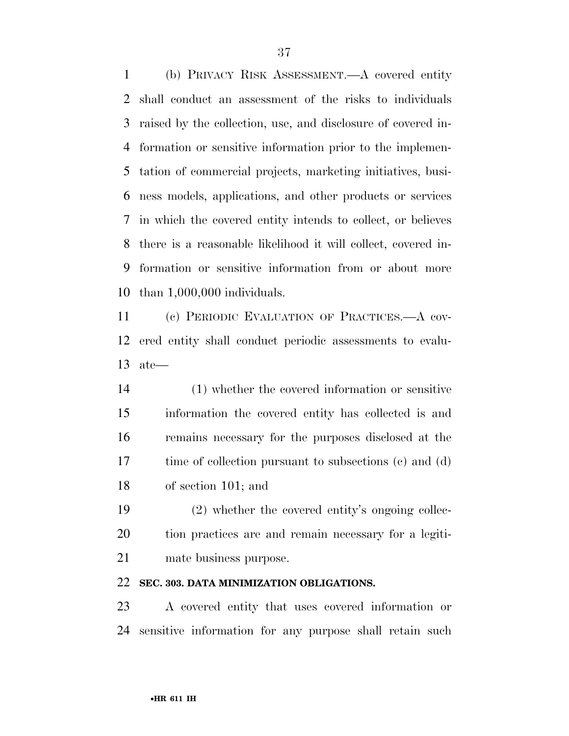(b) PRIVACY RISK ASSESSMENT.—A covered entity shall conduct an assessment of the risks to individuals raised by the collection, use, and disclosure of covered in- formation or sensitive information prior to the implemen- tation of commercial projects, marketing initiatives, busi- ness models, applications, and other products or services in which the covered entity intends to collect, or believes there is a reasonable likelihood it will collect, covered in- formation or sensitive information from or about more than 1,000,000 individuals.

 (c) PERIODIC EVALUATION OF PRACTICES.—A cov- ered entity shall conduct periodic assessments to evalu-ate—

 (1) whether the covered information or sensitive information the covered entity has collected is and remains necessary for the purposes disclosed at the time of collection pursuant to subsections (c) and (d) of section 101; and

 (2) whether the covered entity's ongoing collec- tion practices are and remain necessary for a legiti-mate business purpose.

### **SEC. 303. DATA MINIMIZATION OBLIGATIONS.**

 A covered entity that uses covered information or sensitive information for any purpose shall retain such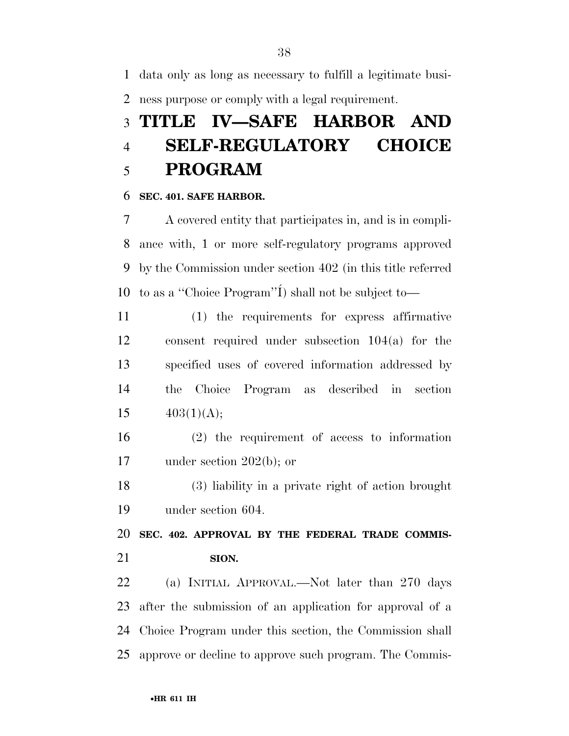data only as long as necessary to fulfill a legitimate busi-ness purpose or comply with a legal requirement.

## **TITLE IV—SAFE HARBOR AND SELF-REGULATORY CHOICE PROGRAM**

#### **SEC. 401. SAFE HARBOR.**

 A covered entity that participates in, and is in compli- ance with, 1 or more self-regulatory programs approved by the Commission under section 402 (in this title referred 10 to as a "Choice Program"<sup>'</sup>I<sup>'</sup>) shall not be subject to-

 (1) the requirements for express affirmative consent required under subsection 104(a) for the specified uses of covered information addressed by the Choice Program as described in section  $403(1)(\text{A});$ 

 (2) the requirement of access to information under section 202(b); or

 (3) liability in a private right of action brought under section 604.

 **SEC. 402. APPROVAL BY THE FEDERAL TRADE COMMIS-SION.** 

 (a) INITIAL APPROVAL.—Not later than 270 days after the submission of an application for approval of a Choice Program under this section, the Commission shall approve or decline to approve such program. The Commis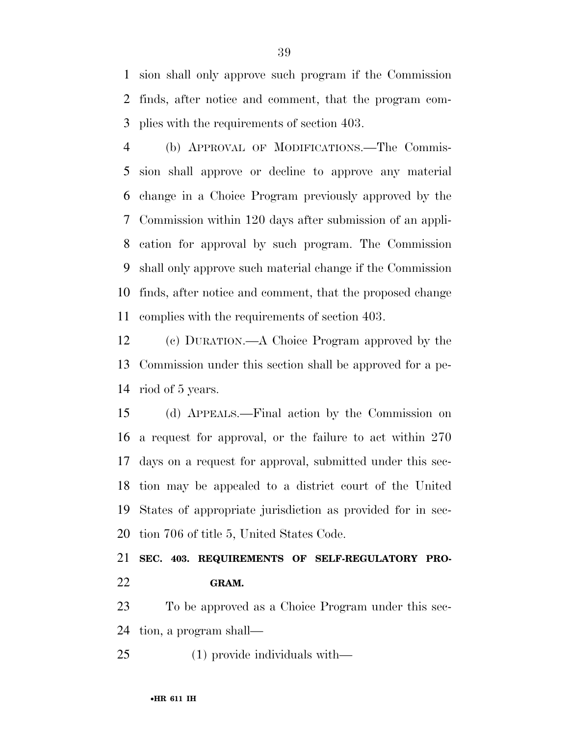sion shall only approve such program if the Commission finds, after notice and comment, that the program com-plies with the requirements of section 403.

 (b) APPROVAL OF MODIFICATIONS.—The Commis- sion shall approve or decline to approve any material change in a Choice Program previously approved by the Commission within 120 days after submission of an appli- cation for approval by such program. The Commission shall only approve such material change if the Commission finds, after notice and comment, that the proposed change complies with the requirements of section 403.

 (c) DURATION.—A Choice Program approved by the Commission under this section shall be approved for a pe-riod of 5 years.

 (d) APPEALS.—Final action by the Commission on a request for approval, or the failure to act within 270 days on a request for approval, submitted under this sec- tion may be appealed to a district court of the United States of appropriate jurisdiction as provided for in sec-tion 706 of title 5, United States Code.

 **SEC. 403. REQUIREMENTS OF SELF-REGULATORY PRO-GRAM.** 

 To be approved as a Choice Program under this sec-tion, a program shall—

(1) provide individuals with—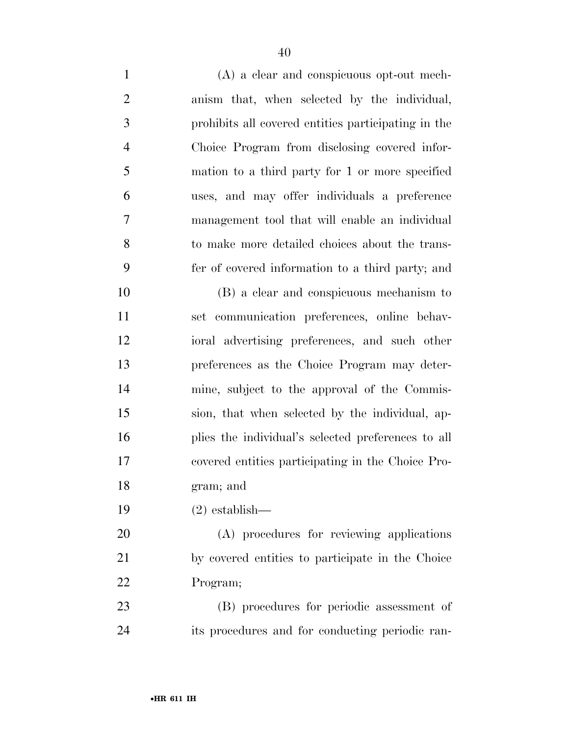| $\mathbf{1}$   | (A) a clear and conspicuous opt-out mech-           |
|----------------|-----------------------------------------------------|
| $\overline{2}$ | anism that, when selected by the individual,        |
| 3              | prohibits all covered entities participating in the |
| $\overline{4}$ | Choice Program from disclosing covered infor-       |
| 5              | mation to a third party for 1 or more specified     |
| 6              | uses, and may offer individuals a preference        |
| 7              | management tool that will enable an individual      |
| 8              | to make more detailed choices about the trans-      |
| 9              | fer of covered information to a third party; and    |
| 10             | (B) a clear and conspicuous mechanism to            |
| 11             | set communication preferences, online behav-        |
| 12             | ioral advertising preferences, and such other       |
| 13             | preferences as the Choice Program may deter-        |
| 14             | mine, subject to the approval of the Commis-        |
| 15             | sion, that when selected by the individual, ap-     |
| 16             | plies the individual's selected preferences to all  |
| 17             | covered entities participating in the Choice Pro-   |
| 18             | gram; and                                           |
| 19             | $(2)$ establish—                                    |
| 20             | (A) procedures for reviewing applications           |
| 21             | by covered entities to participate in the Choice    |
| 22             | Program;                                            |
| 23             | (B) procedures for periodic assessment of           |
| 24             | its procedures and for conducting periodic ran-     |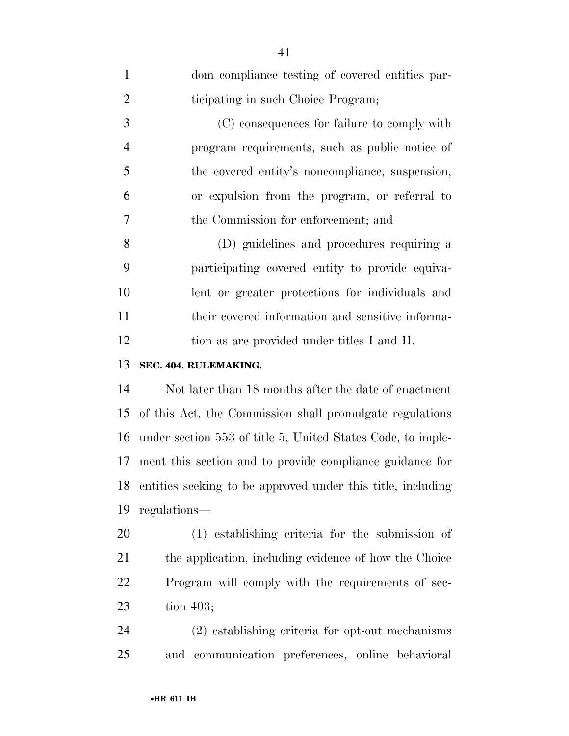| $\mathbf{1}$   | dom compliance testing of covered entities par-             |
|----------------|-------------------------------------------------------------|
| $\overline{2}$ | ticipating in such Choice Program;                          |
| 3              | (C) consequences for failure to comply with                 |
| $\overline{4}$ | program requirements, such as public notice of              |
| 5              | the covered entity's noncompliance, suspension,             |
| 6              | or expulsion from the program, or referral to               |
| 7              | the Commission for enforcement; and                         |
| 8              | (D) guidelines and procedures requiring a                   |
| 9              | participating covered entity to provide equiva-             |
| 10             | lent or greater protections for individuals and             |
| 11             | their covered information and sensitive informa-            |
| 12             | tion as are provided under titles I and II.                 |
| 13             | SEC. 404. RULEMAKING.                                       |
| 14             | Not later than 18 months after the date of enactment        |
| 15             | of this Act, the Commission shall promulgate regulations    |
| 16             | under section 553 of title 5, United States Code, to imple- |
| 17             | ment this section and to provide compliance guidance for    |
| 18             | entities seeking to be approved under this title, including |
| 19             | regulations—                                                |
| 20             | (1) establishing criteria for the submission of             |
| 21             | the application, including evidence of how the Choice       |
| 22             | Program will comply with the requirements of sec-           |
| 23             | tion $403$ ;                                                |
| 24             | (2) establishing criteria for opt-out mechanisms            |
| 25             | and communication preferences, online behavioral            |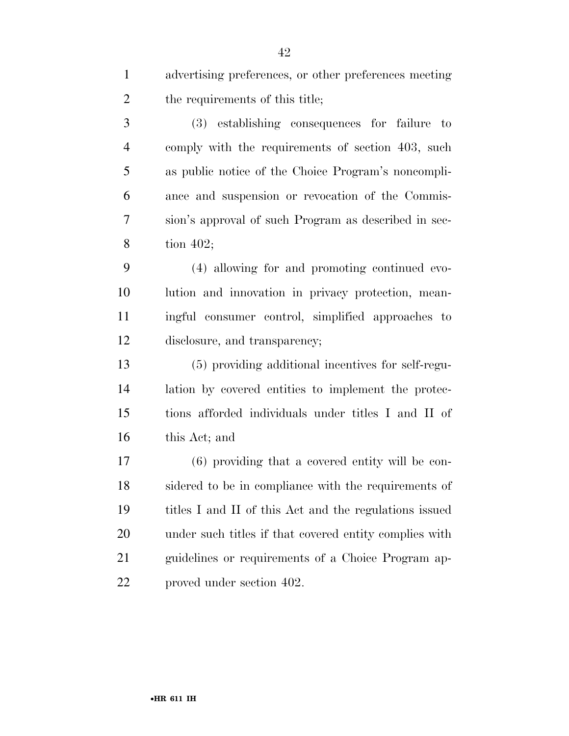advertising preferences, or other preferences meeting the requirements of this title; (3) establishing consequences for failure to comply with the requirements of section 403, such as public notice of the Choice Program's noncompli- ance and suspension or revocation of the Commis- sion's approval of such Program as described in sec- tion 402; (4) allowing for and promoting continued evo- lution and innovation in privacy protection, mean- ingful consumer control, simplified approaches to disclosure, and transparency; (5) providing additional incentives for self-regu- lation by covered entities to implement the protec- tions afforded individuals under titles I and II of this Act; and (6) providing that a covered entity will be con- sidered to be in compliance with the requirements of titles I and II of this Act and the regulations issued under such titles if that covered entity complies with guidelines or requirements of a Choice Program ap-

proved under section 402.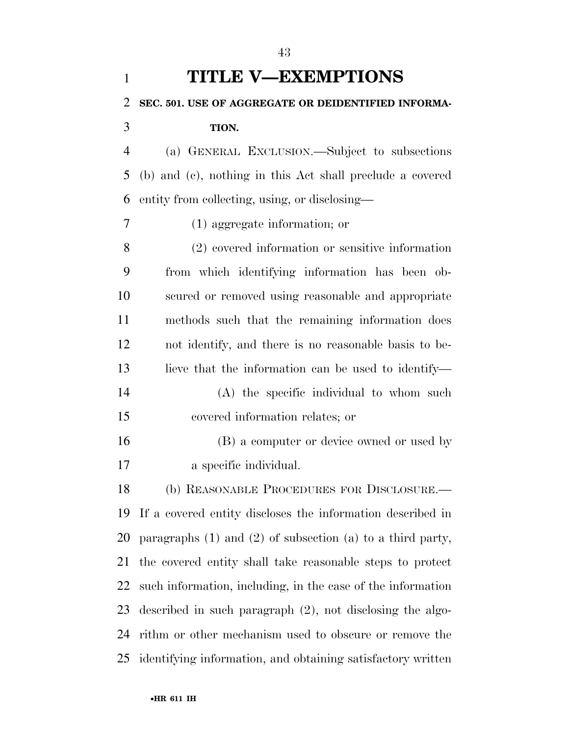| $\mathbf{1}$   | <b>TITLE V-EXEMPTIONS</b>                                        |
|----------------|------------------------------------------------------------------|
| $\overline{2}$ | SEC. 501. USE OF AGGREGATE OR DEIDENTIFIED INFORMA-              |
| 3              | TION.                                                            |
| $\overline{4}$ | (a) GENERAL EXCLUSION.—Subject to subsections                    |
| 5              | (b) and (c), nothing in this Act shall preclude a covered        |
| 6              | entity from collecting, using, or disclosing—                    |
| 7              | $(1)$ aggregate information; or                                  |
| 8              | (2) covered information or sensitive information                 |
| 9              | from which identifying information has been ob-                  |
| 10             | scured or removed using reasonable and appropriate               |
| 11             | methods such that the remaining information does                 |
| 12             | not identify, and there is no reasonable basis to be-            |
| 13             | lieve that the information can be used to identify—              |
| 14             | (A) the specific individual to whom such                         |
| 15             | covered information relates; or                                  |
| 16             | (B) a computer or device owned or used by                        |
| 17             | a specific individual.                                           |
| 18             | (b) REASONABLE PROCEDURES FOR DISCLOSURE.—                       |
| 19             | If a covered entity discloses the information described in       |
| 20             | paragraphs $(1)$ and $(2)$ of subsection $(a)$ to a third party, |
| 21             | the covered entity shall take reasonable steps to protect        |
| 22             | such information, including, in the case of the information      |
| 23             | described in such paragraph $(2)$ , not disclosing the algo-     |
| 24             | rithm or other mechanism used to obscure or remove the           |
| 25             | identifying information, and obtaining satisfactory written      |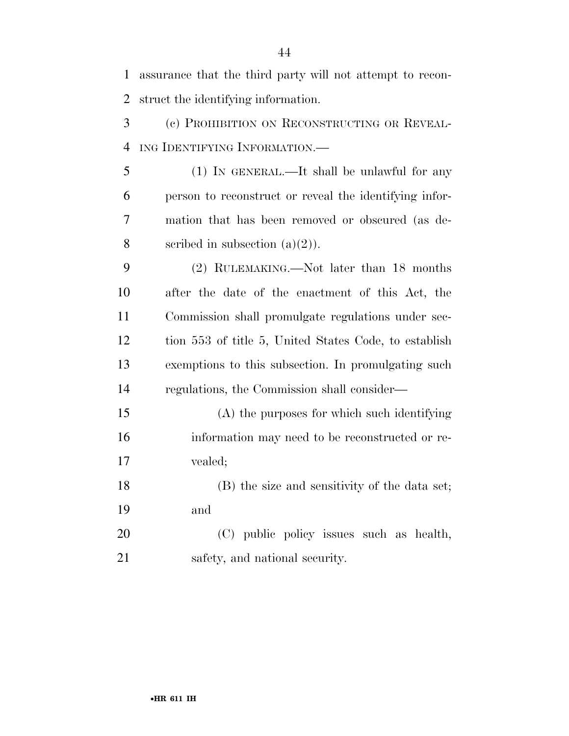assurance that the third party will not attempt to recon- struct the identifying information. (c) PROHIBITION ON RECONSTRUCTING OR REVEAL- ING IDENTIFYING INFORMATION.— (1) IN GENERAL.—It shall be unlawful for any person to reconstruct or reveal the identifying infor- mation that has been removed or obscured (as de-8 scribed in subsection  $(a)(2)$ . (2) RULEMAKING.—Not later than 18 months after the date of the enactment of this Act, the Commission shall promulgate regulations under sec- tion 553 of title 5, United States Code, to establish exemptions to this subsection. In promulgating such regulations, the Commission shall consider— (A) the purposes for which such identifying information may need to be reconstructed or re- vealed; (B) the size and sensitivity of the data set; and (C) public policy issues such as health, safety, and national security.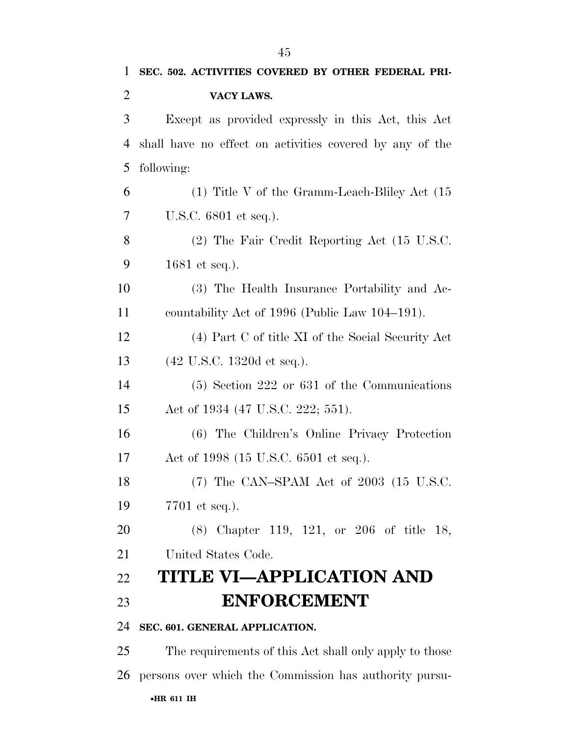| $\overline{2}$ | VACY LAWS.                                               |
|----------------|----------------------------------------------------------|
| 3              | Except as provided expressly in this Act, this Act       |
| $\overline{4}$ | shall have no effect on activities covered by any of the |
| 5              | following:                                               |
| 6              | $(1)$ Title V of the Gramm-Leach-Bliley Act $(15)$       |
| 7              | U.S.C. 6801 et seq.).                                    |
| 8              | (2) The Fair Credit Reporting Act (15 U.S.C.             |
| 9              | 1681 et seq.).                                           |
| 10             | (3) The Health Insurance Portability and Ac-             |
| 11             | countability Act of 1996 (Public Law 104–191).           |
| 12             | (4) Part C of title XI of the Social Security Act        |
| 13             | $(42 \text{ U.S.C. } 1320d \text{ et seq.}).$            |
| 14             | $(5)$ Section 222 or 631 of the Communications           |
| 15             | Act of 1934 (47 U.S.C. 222; 551).                        |
| 16             | (6) The Children's Online Privacy Protection             |
| 17             | Act of 1998 (15 U.S.C. 6501 et seq.).                    |
| 18             | $(7)$ The CAN-SPAM Act of 2003 $(15 \text{ U.S.C.})$     |
| 19             | 7701 et seq.).                                           |
| 20             | $(8)$ Chapter 119, 121, or 206 of title 18,              |
| 21             | United States Code.                                      |
| 22             | <b>TITLE VI-APPLICATION AND</b>                          |
| 23             | <b>ENFORCEMENT</b>                                       |
| 24             | SEC. 601. GENERAL APPLICATION.                           |
| 25             | The requirements of this Act shall only apply to those   |
| 26             | persons over which the Commission has authority pursu-   |
|                | •HR 611 IH                                               |
|                |                                                          |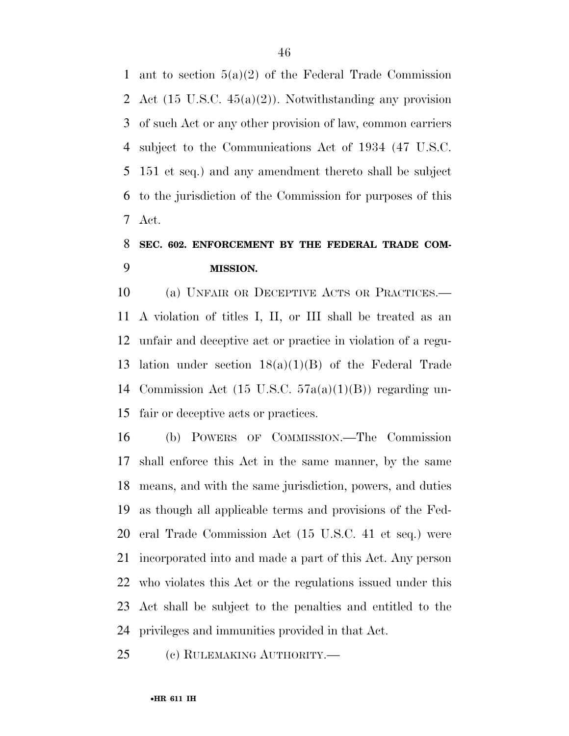1 ant to section  $5(a)(2)$  of the Federal Trade Commission Act (15 U.S.C. 45(a)(2)). Notwithstanding any provision of such Act or any other provision of law, common carriers subject to the Communications Act of 1934 (47 U.S.C. 151 et seq.) and any amendment thereto shall be subject to the jurisdiction of the Commission for purposes of this Act.

## **SEC. 602. ENFORCEMENT BY THE FEDERAL TRADE COM-MISSION.**

 (a) UNFAIR OR DECEPTIVE ACTS OR PRACTICES.— A violation of titles I, II, or III shall be treated as an unfair and deceptive act or practice in violation of a regu- lation under section 18(a)(1)(B) of the Federal Trade Commission Act (15 U.S.C. 57a(a)(1)(B)) regarding un-fair or deceptive acts or practices.

 (b) POWERS OF COMMISSION.—The Commission shall enforce this Act in the same manner, by the same means, and with the same jurisdiction, powers, and duties as though all applicable terms and provisions of the Fed- eral Trade Commission Act (15 U.S.C. 41 et seq.) were incorporated into and made a part of this Act. Any person who violates this Act or the regulations issued under this Act shall be subject to the penalties and entitled to the privileges and immunities provided in that Act.

(c) RULEMAKING AUTHORITY.—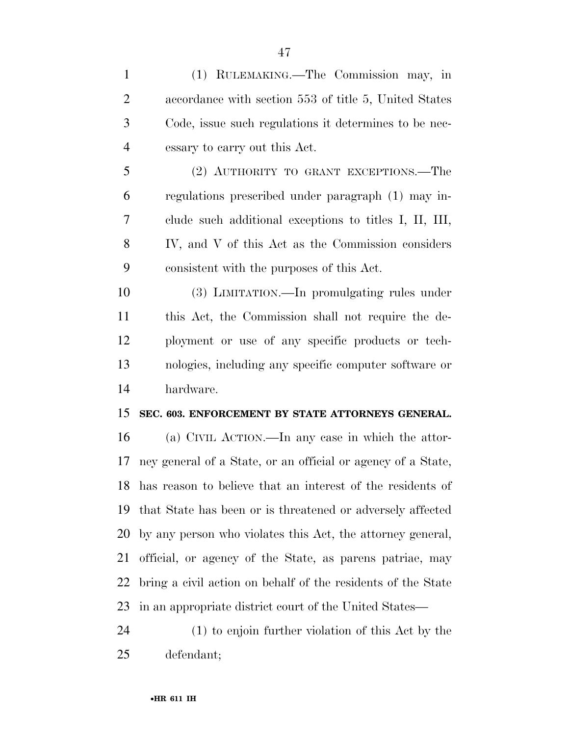(1) RULEMAKING.—The Commission may, in accordance with section 553 of title 5, United States Code, issue such regulations it determines to be nec- essary to carry out this Act. (2) AUTHORITY TO GRANT EXCEPTIONS.—The regulations prescribed under paragraph (1) may in- clude such additional exceptions to titles I, II, III, IV, and V of this Act as the Commission considers consistent with the purposes of this Act. (3) LIMITATION.—In promulgating rules under this Act, the Commission shall not require the de- ployment or use of any specific products or tech- nologies, including any specific computer software or hardware. **SEC. 603. ENFORCEMENT BY STATE ATTORNEYS GENERAL.**  (a) CIVIL ACTION.—In any case in which the attor- ney general of a State, or an official or agency of a State, has reason to believe that an interest of the residents of that State has been or is threatened or adversely affected by any person who violates this Act, the attorney general, official, or agency of the State, as parens patriae, may bring a civil action on behalf of the residents of the State

 (1) to enjoin further violation of this Act by the defendant;

in an appropriate district court of the United States—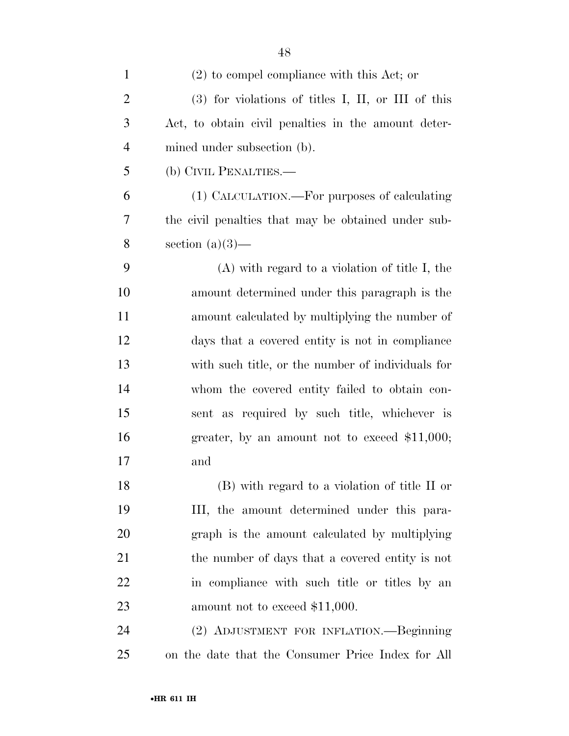| $\mathbf{1}$   | $(2)$ to compel compliance with this Act; or         |
|----------------|------------------------------------------------------|
| $\overline{c}$ | $(3)$ for violations of titles I, II, or III of this |
| 3              | Act, to obtain civil penalties in the amount deter-  |
| $\overline{4}$ | mined under subsection (b).                          |
| 5              | (b) CIVIL PENALTIES.—                                |
| 6              | (1) CALCULATION.—For purposes of calculating         |
| 7              | the civil penalties that may be obtained under sub-  |
| 8              | section $(a)(3)$ —                                   |
| 9              | $(A)$ with regard to a violation of title I, the     |
| 10             | amount determined under this paragraph is the        |
| 11             | amount calculated by multiplying the number of       |
| 12             | days that a covered entity is not in compliance      |
| 13             | with such title, or the number of individuals for    |
| 14             | whom the covered entity failed to obtain con-        |
| 15             | sent as required by such title, whichever is         |
| 16             | greater, by an amount not to exceed $$11,000;$       |
| 17             | and                                                  |
| 18             | (B) with regard to a violation of title II or        |
| 19             | III, the amount determined under this para-          |
| 20             | graph is the amount calculated by multiplying        |
| 21             | the number of days that a covered entity is not      |
| 22             | in compliance with such title or titles by an        |
| 23             | amount not to exceed \$11,000.                       |
| 24             | (2) ADJUSTMENT FOR INFLATION.—Beginning              |
| 25             | on the date that the Consumer Price Index for All    |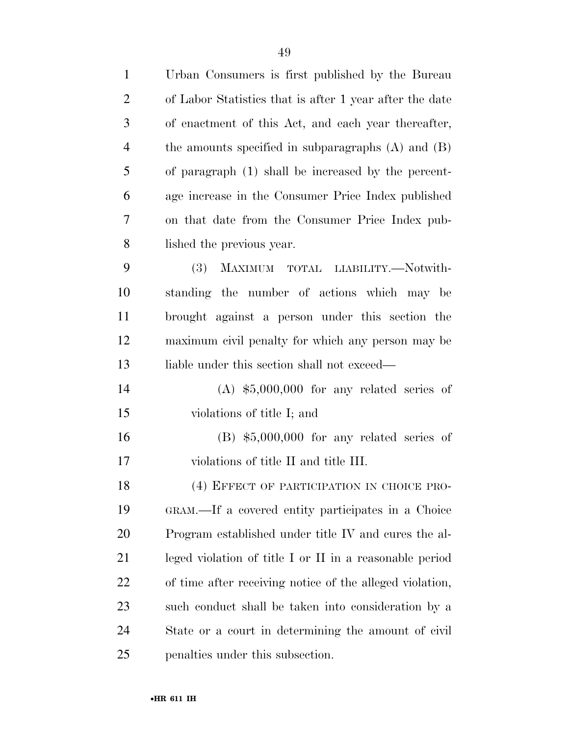| $\mathbf{1}$   | Urban Consumers is first published by the Bureau         |
|----------------|----------------------------------------------------------|
| $\overline{2}$ | of Labor Statistics that is after 1 year after the date  |
| 3              | of enactment of this Act, and each year thereafter,      |
| 4              | the amounts specified in subparagraphs $(A)$ and $(B)$   |
| 5              | of paragraph (1) shall be increased by the percent-      |
| 6              | age increase in the Consumer Price Index published       |
| 7              | on that date from the Consumer Price Index pub-          |
| 8              | lished the previous year.                                |
| 9              | (3)<br>MAXIMUM TOTAL LIABILITY.-Notwith-                 |
| 10             | standing the number of actions which may be              |
| 11             | brought against a person under this section the          |
| 12             | maximum civil penalty for which any person may be        |
| 13             | liable under this section shall not exceed—              |
| 14             | $(A)$ \$5,000,000 for any related series of              |
| 15             | violations of title I; and                               |
| 16             | $(B)$ \$5,000,000 for any related series of              |
| 17             | violations of title II and title III.                    |
| 18             | (4) EFFECT OF PARTICIPATION IN CHOICE PRO-               |
| 19             | GRAM.—If a covered entity participates in a Choice       |
| 20             | Program established under title IV and cures the al-     |
| 21             | leged violation of title I or II in a reasonable period  |
| 22             | of time after receiving notice of the alleged violation, |
| 23             | such conduct shall be taken into consideration by a      |
| 24             | State or a court in determining the amount of civil      |
| 25             | penalties under this subsection.                         |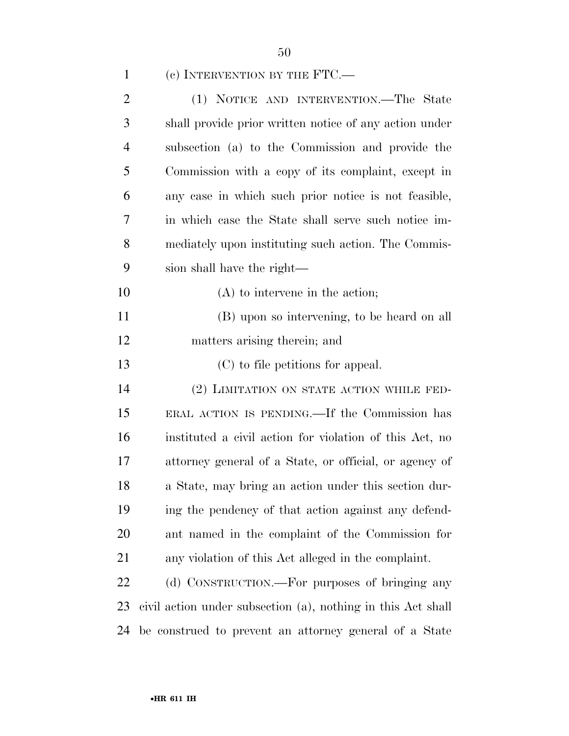| $\mathbf{1}$   | (c) INTERVENTION BY THE $FTC.$                               |
|----------------|--------------------------------------------------------------|
| $\overline{2}$ | (1) NOTICE AND INTERVENTION.—The State                       |
| 3              | shall provide prior written notice of any action under       |
| 4              | subsection (a) to the Commission and provide the             |
| 5              | Commission with a copy of its complaint, except in           |
| 6              | any case in which such prior notice is not feasible,         |
| 7              | in which case the State shall serve such notice im-          |
| 8              | mediately upon instituting such action. The Commis-          |
| 9              | sion shall have the right—                                   |
| 10             | $(A)$ to intervene in the action;                            |
| 11             | (B) upon so intervening, to be heard on all                  |
| 12             | matters arising therein; and                                 |
|                |                                                              |
| 13             | (C) to file petitions for appeal.                            |
| 14             | (2) LIMITATION ON STATE ACTION WHILE FED-                    |
| 15             | ERAL ACTION IS PENDING.—If the Commission has                |
| 16             | instituted a civil action for violation of this Act, no      |
| 17             | attorney general of a State, or official, or agency of       |
| 18             | a State, may bring an action under this section dur-         |
| 19             | ing the pendency of that action against any defend-          |
| 20             | ant named in the complaint of the Commission for             |
| 21             | any violation of this Act alleged in the complaint.          |
| 22             | (d) CONSTRUCTION.—For purposes of bringing any               |
| 23             | civil action under subsection (a), nothing in this Act shall |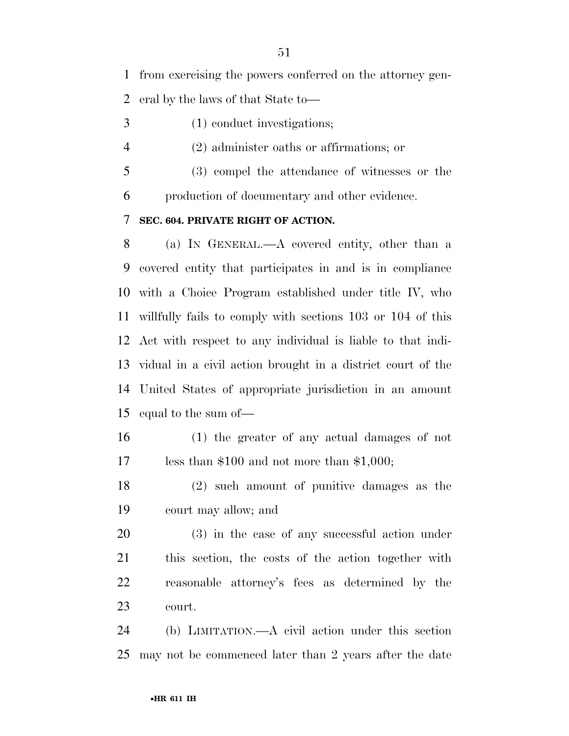from exercising the powers conferred on the attorney gen-

eral by the laws of that State to—

- (1) conduct investigations;
- (2) administer oaths or affirmations; or
- (3) compel the attendance of witnesses or the production of documentary and other evidence.
- **SEC. 604. PRIVATE RIGHT OF ACTION.**

 (a) IN GENERAL.—A covered entity, other than a covered entity that participates in and is in compliance with a Choice Program established under title IV, who willfully fails to comply with sections 103 or 104 of this Act with respect to any individual is liable to that indi- vidual in a civil action brought in a district court of the United States of appropriate jurisdiction in an amount equal to the sum of—

- (1) the greater of any actual damages of not less than \$100 and not more than \$1,000;
- (2) such amount of punitive damages as the court may allow; and

 (3) in the case of any successful action under this section, the costs of the action together with reasonable attorney's fees as determined by the court.

 (b) LIMITATION.—A civil action under this section may not be commenced later than 2 years after the date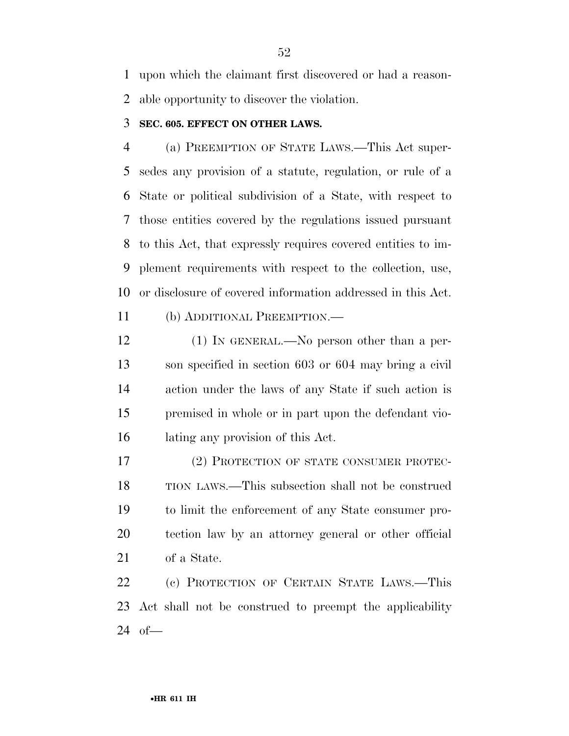upon which the claimant first discovered or had a reason-able opportunity to discover the violation.

#### **SEC. 605. EFFECT ON OTHER LAWS.**

 (a) PREEMPTION OF STATE LAWS.—This Act super- sedes any provision of a statute, regulation, or rule of a State or political subdivision of a State, with respect to those entities covered by the regulations issued pursuant to this Act, that expressly requires covered entities to im- plement requirements with respect to the collection, use, or disclosure of covered information addressed in this Act.

(b) ADDITIONAL PREEMPTION.—

 (1) IN GENERAL.—No person other than a per- son specified in section 603 or 604 may bring a civil action under the laws of any State if such action is premised in whole or in part upon the defendant vio-lating any provision of this Act.

 (2) PROTECTION OF STATE CONSUMER PROTEC- TION LAWS.—This subsection shall not be construed to limit the enforcement of any State consumer pro- tection law by an attorney general or other official of a State.

 (c) PROTECTION OF CERTAIN STATE LAWS.—This Act shall not be construed to preempt the applicability of—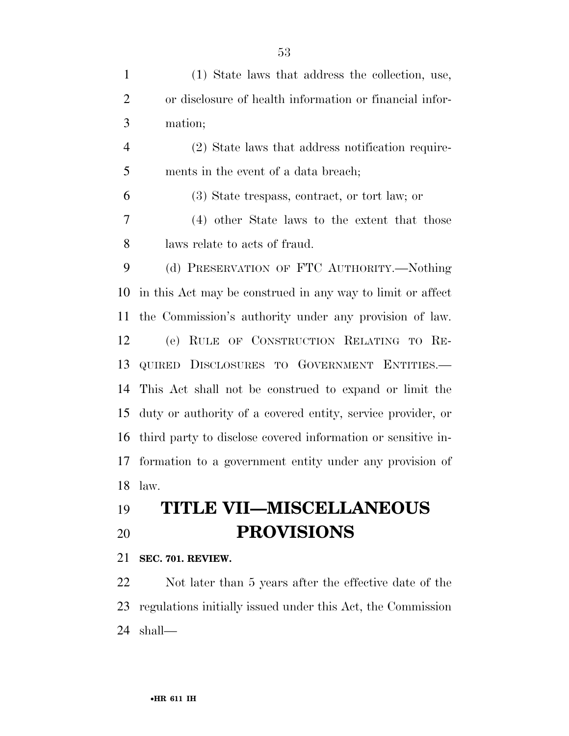| $\mathbf{1}$   | (1) State laws that address the collection, use,             |
|----------------|--------------------------------------------------------------|
| $\overline{2}$ | or disclosure of health information or financial infor-      |
| 3              | mation;                                                      |
| $\overline{4}$ | (2) State laws that address notification require-            |
| 5              | ments in the event of a data breach;                         |
| 6              | (3) State trespass, contract, or tort law; or                |
| $\overline{7}$ | (4) other State laws to the extent that those                |
| 8              | laws relate to acts of fraud.                                |
| 9              | (d) PRESERVATION OF FTC AUTHORITY.—Nothing                   |
| 10             | in this Act may be construed in any way to limit or affect   |
| 11             | the Commission's authority under any provision of law.       |
| 12             | RULE OF CONSTRUCTION RELATING TO RE-<br>(e)                  |
| 13             | QUIRED DISCLOSURES TO GOVERNMENT ENTITIES.                   |
| 14             | This Act shall not be construed to expand or limit the       |
| 15             | duty or authority of a covered entity, service provider, or  |
| 16             | third party to disclose covered information or sensitive in- |
| 17             | formation to a government entity under any provision of      |
| 18             | law.                                                         |
| 19             | <b>TITLE VII-MISCELLANEOUS</b>                               |
| 20             | <b>PROVISIONS</b>                                            |

**SEC. 701. REVIEW.** 

 Not later than 5 years after the effective date of the regulations initially issued under this Act, the Commission shall—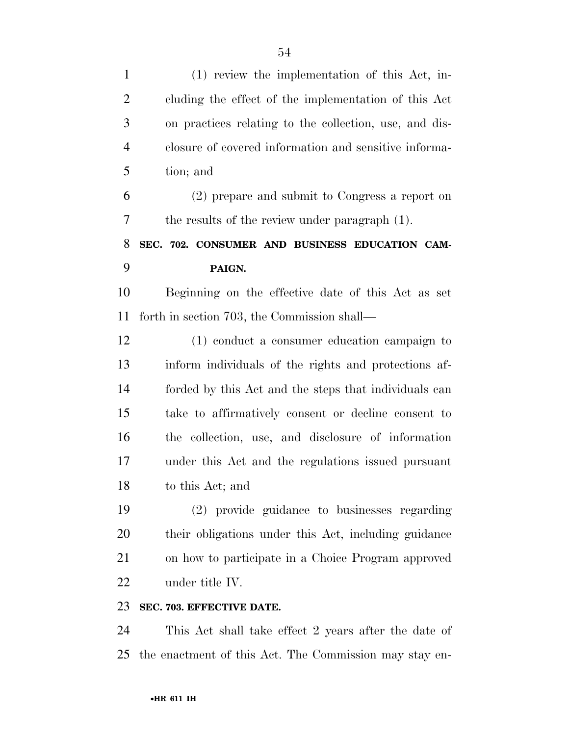| $\mathbf{1}$   | $(1)$ review the implementation of this Act, in-       |
|----------------|--------------------------------------------------------|
| $\overline{2}$ | cluding the effect of the implementation of this Act   |
| 3              | on practices relating to the collection, use, and dis- |
| $\overline{4}$ | closure of covered information and sensitive informa-  |
| 5              | tion; and                                              |
| 6              | (2) prepare and submit to Congress a report on         |
| 7              | the results of the review under paragraph (1).         |
| 8              | SEC. 702. CONSUMER AND BUSINESS EDUCATION CAM-         |
| 9              | PAIGN.                                                 |
| 10             | Beginning on the effective date of this Act as set     |
| 11             | forth in section 703, the Commission shall—            |
| 12             | (1) conduct a consumer education campaign to           |
| 13             | inform individuals of the rights and protections af-   |
| 14             | forded by this Act and the steps that individuals can  |
| 15             | take to affirmatively consent or decline consent to    |
| 16             | the collection, use, and disclosure of information     |
| 17             | under this Act and the regulations issued pursuant     |
| 18             | to this Act; and                                       |
| 19             | (2) provide guidance to businesses regarding           |
| <b>20</b>      | their obligations under this Act, including guidance   |
| 21             | on how to participate in a Choice Program approved     |
| 22             | under title IV.                                        |
| 23             | SEC. 703. EFFECTIVE DATE.                              |

 This Act shall take effect 2 years after the date of the enactment of this Act. The Commission may stay en